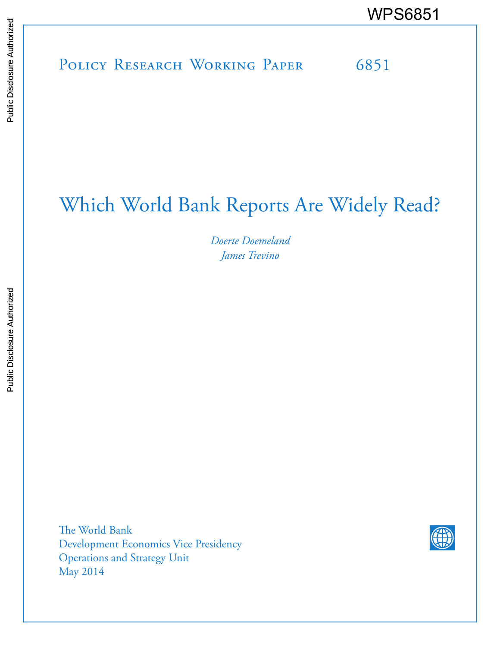# POLICY RESEARCH WORKING PAPER 6851 WPS6851<br>
Media<br>
Media<br>
Band<br>
Band<br>
Band<br>
Band<br>
Band<br>
Band<br>
Band<br>
Band<br>
Band<br>
Band<br>
Band<br>
Band<br>
Band<br>
Band<br>
Band<br>
Band<br>
Band<br>
Band<br>
Band<br>
Band<br>
Band<br>
Band<br>
Band<br>
Band<br>
Band<br>
Band<br>
Band<br>
Band<br>
Band<br>
Band<br>
Band<br>
Band<br>
Band<br>
B

# Which World Bank Reports Are Widely Read?

*Doerte Doemeland James Trevino*

The World Bank Development Economics Vice Presidency Operations and Strategy Unit May 2014

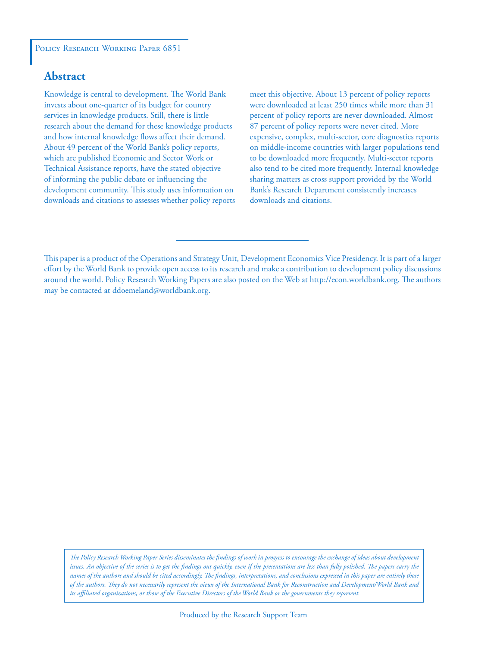#### POLICY RESEARCH WORKING PAPER 6851

# **Abstract**

Knowledge is central to development. The World Bank invests about one-quarter of its budget for country services in knowledge products. Still, there is little research about the demand for these knowledge products and how internal knowledge flows affect their demand. About 49 percent of the World Bank's policy reports, which are published Economic and Sector Work or Technical Assistance reports, have the stated objective of informing the public debate or influencing the development community. This study uses information on downloads and citations to assesses whether policy reports meet this objective. About 13 percent of policy reports were downloaded at least 250 times while more than 31 percent of policy reports are never downloaded. Almost 87 percent of policy reports were never cited. More expensive, complex, multi-sector, core diagnostics reports on middle-income countries with larger populations tend to be downloaded more frequently. Multi-sector reports also tend to be cited more frequently. Internal knowledge sharing matters as cross support provided by the World Bank's Research Department consistently increases downloads and citations.

*The Policy Research Working Paper Series disseminates the findings of work in progress to encourage the exchange of ideas about development*  issues. An objective of the series is to get the findings out quickly, even if the presentations are less than fully polished. The papers carry the *names of the authors and should be cited accordingly. The findings, interpretations, and conclusions expressed in this paper are entirely those of the authors. They do not necessarily represent the views of the International Bank for Reconstruction and Development/World Bank and its affiliated organizations, or those of the Executive Directors of the World Bank or the governments they represent.*

This paper is a product of the Operations and Strategy Unit, Development Economics Vice Presidency. It is part of a larger effort by the World Bank to provide open access to its research and make a contribution to development policy discussions around the world. Policy Research Working Papers are also posted on the Web at http://econ.worldbank.org. The authors may be contacted at ddoemeland@worldbank.org.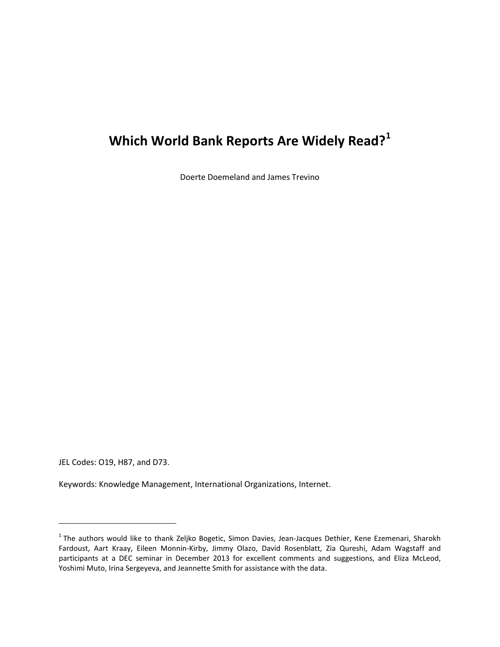# **Which World Bank Reports Are Widely Read?[1](#page-2-0)**

Doerte Doemeland and James Trevino

JEL Codes: O19, H87, and D73.

 $\overline{\phantom{a}}$ 

Keywords: Knowledge Management, International Organizations, Internet.

<span id="page-2-0"></span><sup>&</sup>lt;sup>1</sup> The authors would like to thank Zeljko Bogetic, Simon Davies, Jean-Jacques Dethier, Kene Ezemenari, Sharokh Fardoust, Aart Kraay, Eileen Monnin-Kirby, Jimmy Olazo, David Rosenblatt, Zia Qureshi, Adam Wagstaff and participants at a DEC seminar in December 2013 for excellent comments and suggestions, and Eliza McLeod, Yoshimi Muto, Irina Sergeyeva, and Jeannette Smith for assistance with the data.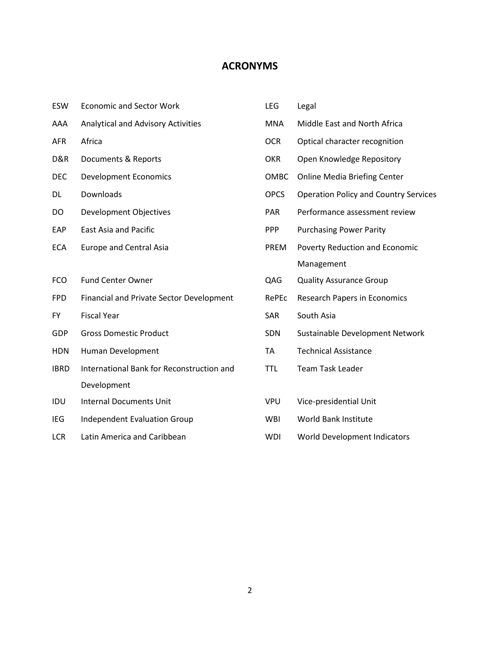# **ACRONYMS**

| ESW         | <b>Economic and Sector Work</b>           | LEG         | Legal                                        |
|-------------|-------------------------------------------|-------------|----------------------------------------------|
| AAA         | Analytical and Advisory Activities        | <b>MNA</b>  | Middle East and North Africa                 |
| <b>AFR</b>  | Africa                                    | <b>OCR</b>  | Optical character recognition                |
| D&R         | Documents & Reports                       | <b>OKR</b>  | Open Knowledge Repository                    |
| DEC         | <b>Development Economics</b>              | OMBC        | <b>Online Media Briefing Center</b>          |
| DL          | Downloads                                 | <b>OPCS</b> | <b>Operation Policy and Country Services</b> |
| DO          | Development Objectives                    | <b>PAR</b>  | Performance assessment review                |
| EAP         | East Asia and Pacific                     | <b>PPP</b>  | <b>Purchasing Power Parity</b>               |
| <b>ECA</b>  | <b>Europe and Central Asia</b>            | <b>PREM</b> | Poverty Reduction and Economic               |
|             |                                           |             | Management                                   |
| <b>FCO</b>  | <b>Fund Center Owner</b>                  | QAG         | <b>Quality Assurance Group</b>               |
| <b>FPD</b>  | Financial and Private Sector Development  | RePEc       | Research Papers in Economics                 |
| <b>FY</b>   | <b>Fiscal Year</b>                        | <b>SAR</b>  | South Asia                                   |
| GDP         | <b>Gross Domestic Product</b>             | SDN         | Sustainable Development Network              |
| <b>HDN</b>  | Human Development                         | <b>TA</b>   | <b>Technical Assistance</b>                  |
| <b>IBRD</b> | International Bank for Reconstruction and | <b>TTL</b>  | <b>Team Task Leader</b>                      |
|             | Development                               |             |                                              |
| IDU         | <b>Internal Documents Unit</b>            | <b>VPU</b>  | Vice-presidential Unit                       |
| <b>IEG</b>  | <b>Independent Evaluation Group</b>       | <b>WBI</b>  | World Bank Institute                         |
| <b>LCR</b>  | Latin America and Caribbean               | <b>WDI</b>  | World Development Indicators                 |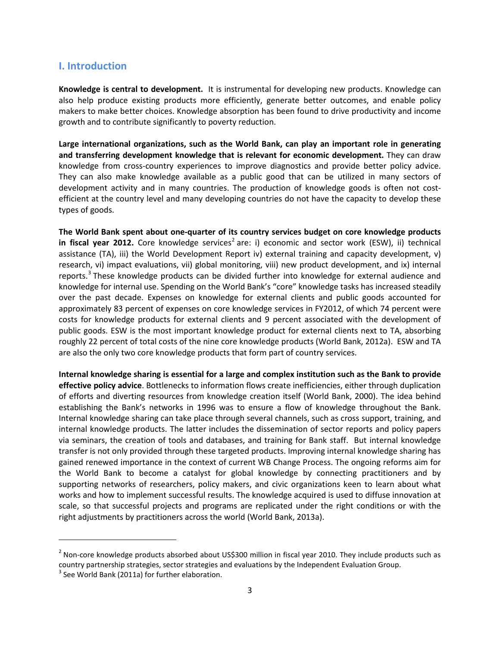## **I. Introduction**

**Knowledge is central to development.** It is instrumental for developing new products. Knowledge can also help produce existing products more efficiently, generate better outcomes, and enable policy makers to make better choices. Knowledge absorption has been found to drive productivity and income growth and to contribute significantly to poverty reduction.

**Large international organizations, such as the World Bank, can play an important role in generating and transferring development knowledge that is relevant for economic development.** They can draw knowledge from cross-country experiences to improve diagnostics and provide better policy advice. They can also make knowledge available as a public good that can be utilized in many sectors of development activity and in many countries. The production of knowledge goods is often not costefficient at the country level and many developing countries do not have the capacity to develop these types of goods.

**The World Bank spent about one-quarter of its country services budget on core knowledge products**  in fiscal year [2](#page-4-0)012. Core knowledge services<sup>2</sup> are: i) economic and sector work (ESW), ii) technical assistance (TA), iii) the World Development Report iv) external training and capacity development, v) research, vi) impact evaluations, vii) global monitoring, viii) new product development, and ix) internal reports.<sup>[3](#page-4-1)</sup> These knowledge products can be divided further into knowledge for external audience and knowledge for internal use. Spending on the World Bank's "core" knowledge tasks has increased steadily over the past decade. Expenses on knowledge for external clients and public goods accounted for approximately 83 percent of expenses on core knowledge services in FY2012, of which 74 percent were costs for knowledge products for external clients and 9 percent associated with the development of public goods. ESW is the most important knowledge product for external clients next to TA, absorbing roughly 22 percent of total costs of the nine core knowledge products (World Bank, 2012a). ESW and TA are also the only two core knowledge products that form part of country services.

**Internal knowledge sharing is essential for a large and complex institution such as the Bank to provide effective policy advice**. Bottlenecks to information flows create inefficiencies, either through duplication of efforts and diverting resources from knowledge creation itself (World Bank, 2000). The idea behind establishing the Bank's networks in 1996 was to ensure a flow of knowledge throughout the Bank. Internal knowledge sharing can take place through several channels, such as cross support, training, and internal knowledge products. The latter includes the dissemination of sector reports and policy papers via seminars, the creation of tools and databases, and training for Bank staff. But internal knowledge transfer is not only provided through these targeted products. Improving internal knowledge sharing has gained renewed importance in the context of current WB Change Process. The ongoing reforms aim for the World Bank to become a catalyst for global knowledge by connecting practitioners and by supporting networks of researchers, policy makers, and civic organizations keen to learn about what works and how to implement successful results. The knowledge acquired is used to diffuse innovation at scale, so that successful projects and programs are replicated under the right conditions or with the right adjustments by practitioners across the world (World Bank, 2013a).

l

<span id="page-4-0"></span> $^2$  Non-core knowledge products absorbed about US\$300 million in fiscal year 2010. They include products such as country partnership strategies, sector strategies and evaluations by the Independent Evaluation Group.

<span id="page-4-1"></span> $3$  See World Bank (2011a) for further elaboration.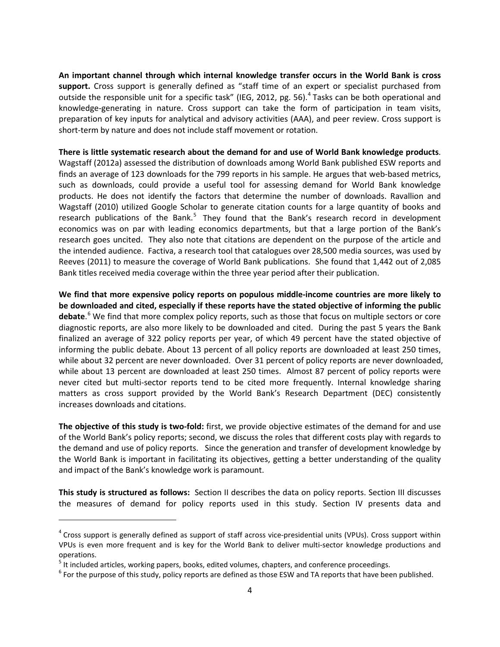**An important channel through which internal knowledge transfer occurs in the World Bank is cross support.** Cross support is generally defined as "staff time of an expert or specialist purchased from outside the responsible unit for a specific task" (IEG, 2012, pg. 56).<sup>[4](#page-5-0)</sup> Tasks can be both operational and knowledge-generating in nature. Cross support can take the form of participation in team visits, preparation of key inputs for analytical and advisory activities (AAA), and peer review. Cross support is short-term by nature and does not include staff movement or rotation.

**There is little systematic research about the demand for and use of World Bank knowledge products**. Wagstaff (2012a) assessed the distribution of downloads among World Bank published ESW reports and finds an average of 123 downloads for the 799 reports in his sample. He argues that web-based metrics, such as downloads, could provide a useful tool for assessing demand for World Bank knowledge products. He does not identify the factors that determine the number of downloads. Ravallion and Wagstaff (2010) utilized Google Scholar to generate citation counts for a large quantity of books and research publications of the Bank.<sup>[5](#page-5-1)</sup> They found that the Bank's research record in development economics was on par with leading economics departments, but that a large portion of the Bank's research goes uncited. They also note that citations are dependent on the purpose of the article and the intended audience. Factiva, a research tool that catalogues over 28,500 media sources, was used by Reeves (2011) to measure the coverage of World Bank publications. She found that 1,442 out of 2,085 Bank titles received media coverage within the three year period after their publication.

**We find that more expensive policy reports on populous middle-income countries are more likely to be downloaded and cited, especially if these reports have the stated objective of informing the public debate**. [6](#page-5-2) We find that more complex policy reports, such as those that focus on multiple sectors or core diagnostic reports, are also more likely to be downloaded and cited. During the past 5 years the Bank finalized an average of 322 policy reports per year, of which 49 percent have the stated objective of informing the public debate. About 13 percent of all policy reports are downloaded at least 250 times, while about 32 percent are never downloaded. Over 31 percent of policy reports are never downloaded, while about 13 percent are downloaded at least 250 times. Almost 87 percent of policy reports were never cited but multi-sector reports tend to be cited more frequently. Internal knowledge sharing matters as cross support provided by the World Bank's Research Department (DEC) consistently increases downloads and citations.

**The objective of this study is two-fold:** first, we provide objective estimates of the demand for and use of the World Bank's policy reports; second, we discuss the roles that different costs play with regards to the demand and use of policy reports. Since the generation and transfer of development knowledge by the World Bank is important in facilitating its objectives, getting a better understanding of the quality and impact of the Bank's knowledge work is paramount.

**This study is structured as follows:** Section II describes the data on policy reports. Section III discusses the measures of demand for policy reports used in this study. Section IV presents data and

 $\overline{\phantom{a}}$ 

<span id="page-5-0"></span> $4$  Cross support is generally defined as support of staff across vice-presidential units (VPUs). Cross support within VPUs is even more frequent and is key for the World Bank to deliver multi-sector knowledge productions and operations.<br><sup>5</sup> It included articles, working papers, books, edited volumes, chapters, and conference proceedings.

<span id="page-5-1"></span>

<span id="page-5-2"></span> $6$  For the purpose of this study, policy reports are defined as those ESW and TA reports that have been published.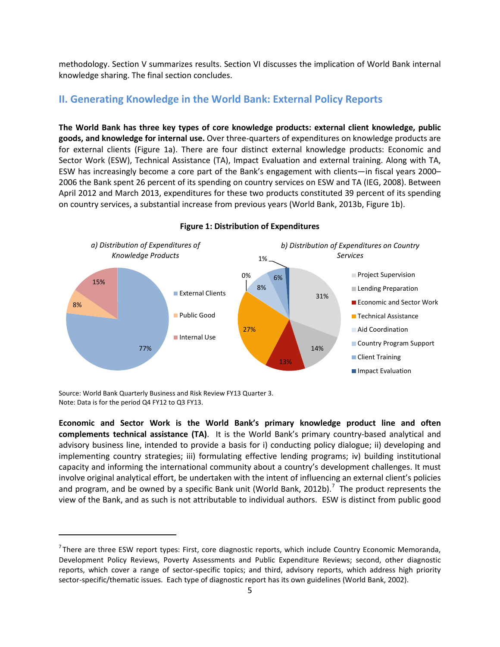methodology. Section V summarizes results. Section VI discusses the implication of World Bank internal knowledge sharing. The final section concludes.

# **II. Generating Knowledge in the World Bank: External Policy Reports**

**The World Bank has three key types of core knowledge products: external client knowledge, public goods, and knowledge for internal use.** Over three-quarters of expenditures on knowledge products are for external clients (Figure 1a). There are four distinct external knowledge products: Economic and Sector Work (ESW), Technical Assistance (TA), Impact Evaluation and external training. Along with TA, ESW has increasingly become a core part of the Bank's engagement with clients—in fiscal years 2000– 2006 the Bank spent 26 percent of its spending on country services on ESW and TA (IEG, 2008). Between April 2012 and March 2013, expenditures for these two products constituted 39 percent of its spending on country services, a substantial increase from previous years (World Bank, 2013b, Figure 1b).



**Figure 1: Distribution of Expenditures**

Source: World Bank Quarterly Business and Risk Review FY13 Quarter 3. Note: Data is for the period Q4 FY12 to Q3 FY13.

l

**Economic and Sector Work is the World Bank's primary knowledge product line and often complements technical assistance (TA)**. It is the World Bank's primary country-based analytical and advisory business line, intended to provide a basis for i) conducting policy dialogue; ii) developing and implementing country strategies; iii) formulating effective lending programs; iv) building institutional capacity and informing the international community about a country's development challenges. It must involve original analytical effort, be undertaken with the intent of influencing an external client's policies and program, and be owned by a specific Bank unit (World Bank, 2012b).<sup>[7](#page-6-0)</sup> The product represents the view of the Bank, and as such is not attributable to individual authors. ESW is distinct from public good

<span id="page-6-0"></span><sup>&</sup>lt;sup>7</sup>There are three ESW report types: First, core diagnostic reports, which include Country Economic Memoranda, Development Policy Reviews, Poverty Assessments and Public Expenditure Reviews; second, other diagnostic reports, which cover a range of sector-specific topics; and third, advisory reports, which address high priority sector-specific/thematic issues. Each type of diagnostic report has its own guidelines (World Bank, 2002).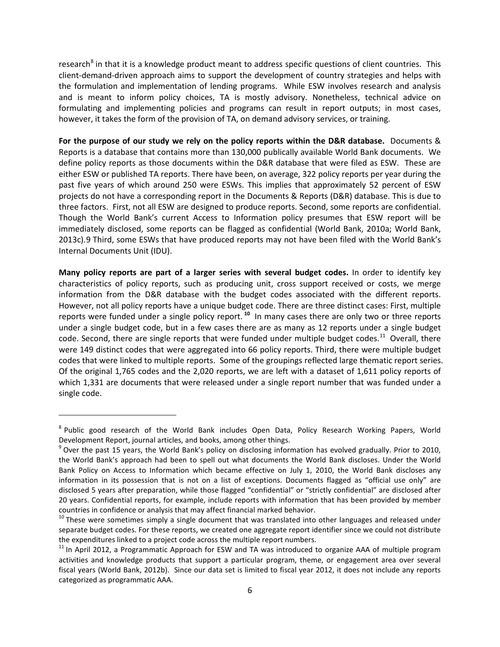research<sup>[8](#page-7-0)</sup> in that it is a knowledge product meant to address specific questions of client countries. This client-demand-driven approach aims to support the development of country strategies and helps with the formulation and implementation of lending programs. While ESW involves research and analysis and is meant to inform policy choices, TA is mostly advisory. Nonetheless, technical advice on formulating and implementing policies and programs can result in report outputs; in most cases, however, it takes the form of the provision of TA, on demand advisory services, or training.

**For the purpose of our study we rely on the policy reports within the D&R database.** Documents & Reports is a database that contains more than 130,000 publically available World Bank documents. We define policy reports as those documents within the D&R database that were filed as ESW. These are either ESW or published TA reports. There have been, on average, 322 policy reports per year during the past five years of which around 250 were ESWs. This implies that approximately 52 percent of ESW projects do not have a corresponding report in the Documents & Reports (D&R) database. This is due to three factors. First, not all ESW are designed to produce reports. Second, some reports are confidential. Though the World Bank's current Access to Information policy presumes that ESW report will be immediately disclosed, some reports can be flagged as confidential (World Bank, 2010a; World Bank, 2013c).[9](#page-7-1) Third, some ESWs that have produced reports may not have been filed with the World Bank's Internal Documents Unit (IDU).

**Many policy reports are part of a larger series with several budget codes.** In order to identify key characteristics of policy reports, such as producing unit, cross support received or costs, we merge information from the D&R database with the budget codes associated with the different reports. However, not all policy reports have a unique budget code. There are three distinct cases: First, multiple reports were funded under a single policy report. **[10](#page-7-2)** In many cases there are only two or three reports under a single budget code, but in a few cases there are as many as 12 reports under a single budget code. Second, there are single reports that were funded under multiple budget codes.<sup>[11](#page-7-3)</sup> Overall, there were 149 distinct codes that were aggregated into 66 policy reports. Third, there were multiple budget codes that were linked to multiple reports. Some of the groupings reflected large thematic report series. Of the original 1,765 codes and the 2,020 reports, we are left with a dataset of 1,611 policy reports of which 1,331 are documents that were released under a single report number that was funded under a single code.

 $\overline{\phantom{a}}$ 

<span id="page-7-0"></span><sup>&</sup>lt;sup>8</sup> Public good research of the World Bank includes Open Data, Policy Research Working Papers, World Development Report, journal articles, and books, among other things.<br><sup>9</sup> Over the past 15 years, the World Bank's policy on disclosing information has evolved gradually. Prior to 2010,

<span id="page-7-1"></span>the World Bank's approach had been to spell out what documents the World Bank discloses. Under the World Bank Policy on Access to Information which became effective on July 1, 2010, the World Bank discloses any information in its possession that is not on a [list of exceptions.](http://web.worldbank.org/WBSITE/EXTERNAL/PROJECTANDOPERATIONS/EXTINFODISCLOSURE/0,,contentMDK:21829813%7EmenuPK:7202424%7EpagePK:64865365%7EpiPK:64864641%7EtheSitePK:5033734,00.html%23e) Documents flagged as "official use only" are disclosed 5 years after preparation, while those flagged "confidential" or "strictly confidential" are disclosed after 20 years. Confidential reports, for example, include reports with information that has been provided by member

<span id="page-7-2"></span>countries in confidence or analysis that may affect financial marked behavior.<br><sup>10</sup> These were sometimes simply a single document that was translated into other languages and released under separate budget codes. For these reports, we created one aggregate report identifier since we could not distribute the expenditures linked to a project code across the multiple report numbers.

<span id="page-7-3"></span><sup>&</sup>lt;sup>11</sup> In April 2012, a Programmatic Approach for ESW and TA was introduced to organize AAA of multiple program activities and knowledge products that support a particular program, theme, or engagement area over several fiscal years (World Bank, 2012b). Since our data set is limited to fiscal year 2012, it does not include any reports categorized as programmatic AAA.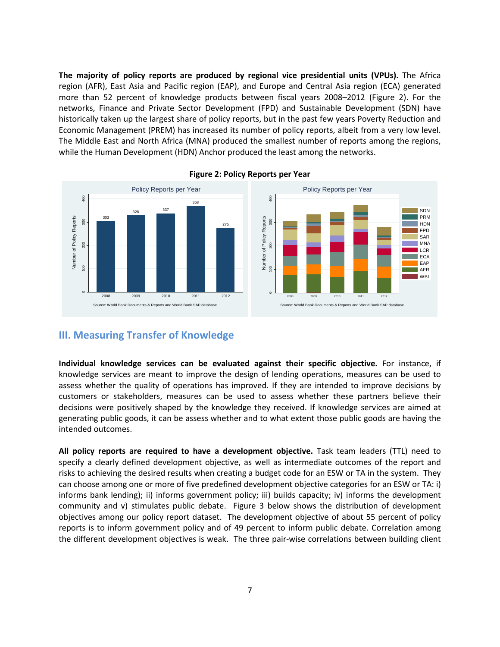**The majority of policy reports are produced by regional vice presidential units (VPUs).** The Africa region (AFR), East Asia and Pacific region (EAP), and Europe and Central Asia region (ECA) generated more than 52 percent of knowledge products between fiscal years 2008–2012 (Figure 2). For the networks, Finance and Private Sector Development (FPD) and Sustainable Development (SDN) have historically taken up the largest share of policy reports, but in the past few years Poverty Reduction and Economic Management (PREM) has increased its number of policy reports, albeit from a very low level. The Middle East and North Africa (MNA) produced the smallest number of reports among the regions, while the Human Development (HDN) Anchor produced the least among the networks.



**Figure 2: Policy Reports per Year**

### **III. Measuring Transfer of Knowledge**

**Individual knowledge services can be evaluated against their specific objective.** For instance, if knowledge services are meant to improve the design of lending operations, measures can be used to assess whether the quality of operations has improved. If they are intended to improve decisions by customers or stakeholders, measures can be used to assess whether these partners believe their decisions were positively shaped by the knowledge they received. If knowledge services are aimed at generating public goods, it can be assess whether and to what extent those public goods are having the intended outcomes.

**All policy reports are required to have a development objective.** Task team leaders (TTL) need to specify a clearly defined development objective, as well as intermediate outcomes of the report and risks to achieving the desired results when creating a budget code for an ESW or TA in the system. They can choose among one or more of five predefined development objective categories for an ESW or TA: i) informs bank lending); ii) informs government policy; iii) builds capacity; iv) informs the development community and v) stimulates public debate. Figure 3 below shows the distribution of development objectives among our policy report dataset. The development objective of about 55 percent of policy reports is to inform government policy and of 49 percent to inform public debate. Correlation among the different development objectives is weak. The three pair-wise correlations between building client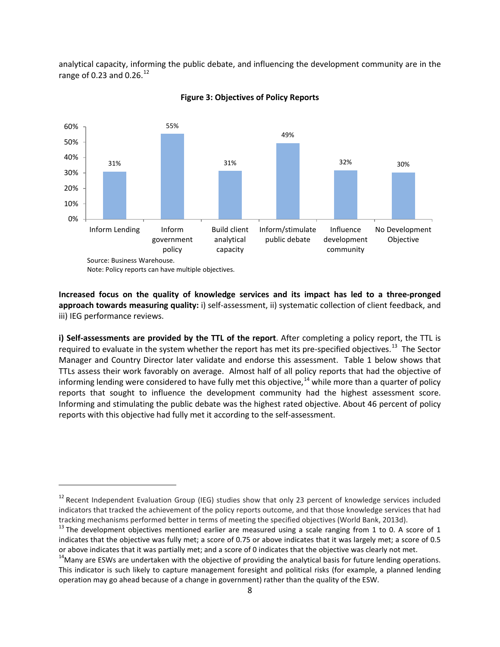analytical capacity, informing the public debate, and influencing the development community are in the range of 0.23 and 0.26. $^{12}$  $^{12}$  $^{12}$ 



#### **Figure 3: Objectives of Policy Reports**

**Increased focus on the quality of knowledge services and its impact has led to a three-pronged approach towards measuring quality:** i) self-assessment, ii) systematic collection of client feedback, and iii) IEG performance reviews.

**i) Self-assessments are provided by the TTL of the report**. After completing a policy report, the TTL is required to evaluate in the system whether the report has met its pre-specified objectives.<sup>13</sup> The Sector Manager and Country Director later validate and endorse this assessment. Table 1 below shows that TTLs assess their work favorably on average. Almost half of all policy reports that had the objective of informing lending were considered to have fully met this objective,<sup>[14](#page-9-2)</sup> while more than a quarter of policy reports that sought to influence the development community had the highest assessment score. Informing and stimulating the public debate was the highest rated objective. About 46 percent of policy reports with this objective had fully met it according to the self-assessment.

 $\overline{\phantom{a}}$ 

<span id="page-9-0"></span> $12$  Recent Independent Evaluation Group (IEG) studies show that only 23 percent of knowledge services included indicators that tracked the achievement of the policy reports outcome, and that those knowledge services that had tracking mechanisms performed better in terms of meeting the specified objectives (World Bank, 2013d).<br><sup>13</sup> The development objectives mentioned earlier are measured using a scale ranging from 1 to 0. A score of 1

<span id="page-9-1"></span>indicates that the objective was fully met; a score of 0.75 or above indicates that it was largely met; a score of 0.5 or above indicates that it was partially met; and a score of 0 indicates that the objective was clearly not met.<br> $14$ Many are ESWs are undertaken with the objective of providing the analytical basis for future lending ope

<span id="page-9-2"></span>This indicator is such likely to capture management foresight and political risks (for example, a planned lending operation may go ahead because of a change in government) rather than the quality of the ESW.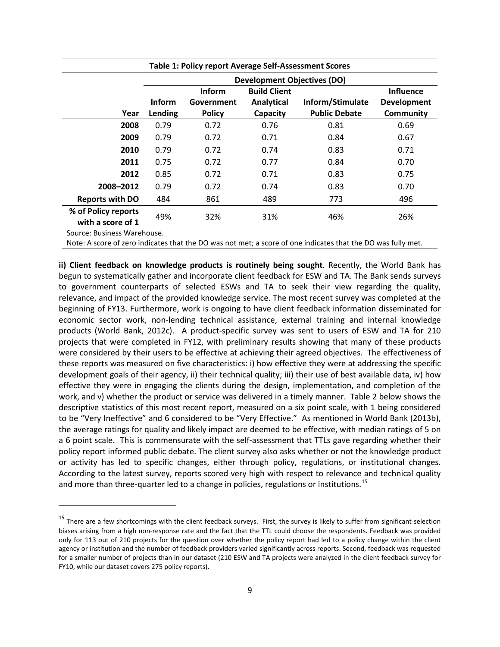| Table 1: Policy report Average Self-Assessment Scores |                          |                                              |                                                      |                                          |                                                     |  |  |  |  |  |  |
|-------------------------------------------------------|--------------------------|----------------------------------------------|------------------------------------------------------|------------------------------------------|-----------------------------------------------------|--|--|--|--|--|--|
|                                                       |                          | <b>Development Objectives (DO)</b>           |                                                      |                                          |                                                     |  |  |  |  |  |  |
| Year                                                  | <b>Inform</b><br>Lending | <b>Inform</b><br>Government<br><b>Policy</b> | <b>Build Client</b><br><b>Analytical</b><br>Capacity | Inform/Stimulate<br><b>Public Debate</b> | <b>Influence</b><br><b>Development</b><br>Community |  |  |  |  |  |  |
| 2008                                                  | 0.79                     | 0.72                                         | 0.76                                                 | 0.81                                     | 0.69                                                |  |  |  |  |  |  |
| 2009                                                  | 0.79                     | 0.72                                         | 0.71                                                 | 0.84                                     | 0.67                                                |  |  |  |  |  |  |
| 2010                                                  | 0.79                     | 0.72                                         | 0.74                                                 | 0.83                                     | 0.71                                                |  |  |  |  |  |  |
| 2011                                                  | 0.75                     | 0.72                                         | 0.77                                                 | 0.84                                     | 0.70                                                |  |  |  |  |  |  |
| 2012                                                  | 0.85                     | 0.72                                         | 0.71                                                 | 0.83                                     | 0.75                                                |  |  |  |  |  |  |
| 2008-2012                                             | 0.79                     | 0.72                                         | 0.74                                                 | 0.83                                     | 0.70                                                |  |  |  |  |  |  |
| <b>Reports with DO</b>                                | 484                      | 861                                          | 489                                                  | 773                                      | 496                                                 |  |  |  |  |  |  |
| % of Policy reports<br>with a score of 1              | 49%                      | 32%                                          | 31%                                                  | 46%                                      | 26%                                                 |  |  |  |  |  |  |

Source: Business Warehouse.

l

Note: A score of zero indicates that the DO was not met; a score of one indicates that the DO was fully met.

**ii) Client feedback on knowledge products is routinely being sought**. Recently, the World Bank has begun to systematically gather and incorporate client feedback for ESW and TA. The Bank sends surveys to government counterparts of selected ESWs and TA to seek their view regarding the quality, relevance, and impact of the provided knowledge service. The most recent survey was completed at the beginning of FY13. Furthermore, work is ongoing to have client feedback information disseminated for economic sector work, non-lending technical assistance, external training and internal knowledge products (World Bank, 2012c). A product-specific survey was sent to users of ESW and TA for 210 projects that were completed in FY12, with preliminary results showing that many of these products were considered by their users to be effective at achieving their agreed objectives. The effectiveness of these reports was measured on five characteristics: i) how effective they were at addressing the specific development goals of their agency, ii) their technical quality; iii) their use of best available data, iv) how effective they were in engaging the clients during the design, implementation, and completion of the work, and v) whether the product or service was delivered in a timely manner. Table 2 below shows the descriptive statistics of this most recent report, measured on a six point scale, with 1 being considered to be "Very Ineffective" and 6 considered to be "Very Effective." As mentioned in World Bank (2013b), the average ratings for quality and likely impact are deemed to be effective, with median ratings of 5 on a 6 point scale. This is commensurate with the self-assessment that TTLs gave regarding whether their policy report informed public debate. The client survey also asks whether or not the knowledge product or activity has led to specific changes, either through policy, regulations, or institutional changes. According to the latest survey, reports scored very high with respect to relevance and technical quality and more than three-quarter led to a change in policies, regulations or institutions.<sup>[15](#page-10-0)</sup>

<span id="page-10-0"></span><sup>&</sup>lt;sup>15</sup> There are a few shortcomings with the client feedback surveys. First, the survey is likely to suffer from significant selection biases arising from a high non-response rate and the fact that the TTL could choose the respondents. Feedback was provided only for 113 out of 210 projects for the question over whether the policy report had led to a policy change within the client agency or institution and the number of feedback providers varied significantly across reports. Second, feedback was requested for a smaller number of projects than in our dataset (210 ESW and TA projects were analyzed in the client feedback survey for FY10, while our dataset covers 275 policy reports).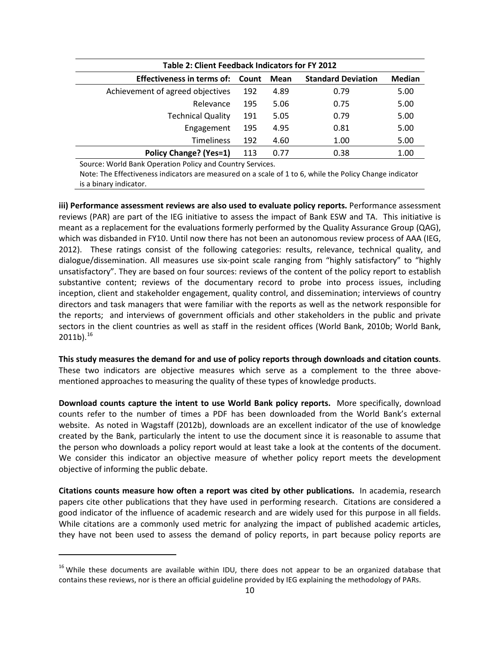| Table 2: Client Feedback Indicators for FY 2012 |       |      |                           |               |  |  |  |  |  |  |  |
|-------------------------------------------------|-------|------|---------------------------|---------------|--|--|--|--|--|--|--|
| Effectiveness in terms of:                      | Count | Mean | <b>Standard Deviation</b> | <b>Median</b> |  |  |  |  |  |  |  |
| Achievement of agreed objectives                | 192   | 4.89 | 0.79                      | 5.00          |  |  |  |  |  |  |  |
| Relevance                                       | 195   | 5.06 | 0.75                      | 5.00          |  |  |  |  |  |  |  |
| <b>Technical Quality</b>                        | 191   | 5.05 | 0.79                      | 5.00          |  |  |  |  |  |  |  |
| Engagement                                      | 195   | 4.95 | 0.81                      | 5.00          |  |  |  |  |  |  |  |
| <b>Timeliness</b>                               | 192   | 4.60 | 1.00                      | 5.00          |  |  |  |  |  |  |  |
| <b>Policy Change? (Yes=1)</b>                   | 113   | 0.77 | 0.38                      | 1.00          |  |  |  |  |  |  |  |

Source: World Bank Operation Policy and Country Services.

Note: The Effectiveness indicators are measured on a scale of 1 to 6, while the Policy Change indicator is a binary indicator.

**iii) Performance assessment reviews are also used to evaluate policy reports.** Performance assessment reviews (PAR) are part of the IEG initiative to assess the impact of Bank ESW and TA. This initiative is meant as a replacement for the evaluations formerly performed by the Quality Assurance Group (QAG), which was disbanded in FY10. Until now there has not been an autonomous review process of AAA (IEG, 2012). These ratings consist of the following categories: results, relevance, technical quality, and dialogue/dissemination. All measures use six-point scale ranging from "highly satisfactory" to "highly unsatisfactory". They are based on four sources: reviews of the content of the policy report to establish substantive content; reviews of the documentary record to probe into process issues, including inception, client and stakeholder engagement, quality control, and dissemination; interviews of country directors and task managers that were familiar with the reports as well as the network responsible for the reports; and interviews of government officials and other stakeholders in the public and private sectors in the client countries as well as staff in the resident offices (World Bank, 2010b; World Bank,  $2011b$ ).<sup>16</sup>

**This study measures the demand for and use of policy reports through downloads and citation counts**. These two indicators are objective measures which serve as a complement to the three abovementioned approaches to measuring the quality of these types of knowledge products.

**Download counts capture the intent to use World Bank policy reports.** More specifically, download counts refer to the number of times a PDF has been downloaded from the World Bank's external website. As noted in Wagstaff (2012b), downloads are an excellent indicator of the use of knowledge created by the Bank, particularly the intent to use the document since it is reasonable to assume that the person who downloads a policy report would at least take a look at the contents of the document. We consider this indicator an objective measure of whether policy report meets the development objective of informing the public debate.

**Citations counts measure how often a report was cited by other publications.** In academia, research papers cite other publications that they have used in performing research. Citations are considered a good indicator of the influence of academic research and are widely used for this purpose in all fields. While citations are a commonly used metric for analyzing the impact of published academic articles, they have not been used to assess the demand of policy reports, in part because policy reports are

l

<span id="page-11-0"></span><sup>&</sup>lt;sup>16</sup> While these documents are available within IDU, there does not appear to be an organized database that contains these reviews, nor is there an official guideline provided by IEG explaining the methodology of PARs.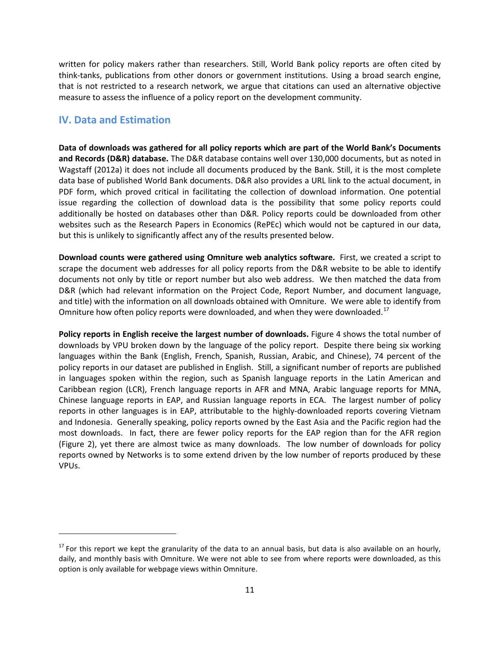written for policy makers rather than researchers. Still, World Bank policy reports are often cited by think-tanks, publications from other donors or government institutions. Using a broad search engine, that is not restricted to a research network, we argue that citations can used an alternative objective measure to assess the influence of a policy report on the development community.

# **IV. Data and Estimation**

 $\overline{\phantom{a}}$ 

**Data of downloads was gathered for all policy reports which are part of the World Bank's Documents and Records (D&R) database.** The D&R database contains well over 130,000 documents, but as noted in Wagstaff (2012a) it does not include all documents produced by the Bank. Still, it is the most complete data base of published World Bank documents. D&R also provides a URL link to the actual document, in PDF form, which proved critical in facilitating the collection of download information. One potential issue regarding the collection of download data is the possibility that some policy reports could additionally be hosted on databases other than D&R. Policy reports could be downloaded from other websites such as the Research Papers in Economics (RePEc) which would not be captured in our data, but this is unlikely to significantly affect any of the results presented below.

**Download counts were gathered using Omniture web analytics software.** First, we created a script to scrape the document web addresses for all policy reports from the D&R website to be able to identify documents not only by title or report number but also web address. We then matched the data from D&R (which had relevant information on the Project Code, Report Number, and document language, and title) with the information on all downloads obtained with Omniture. We were able to identify from Omniture how often policy reports were downloaded, and when they were downloaded.<sup>17</sup>

**Policy reports in English receive the largest number of downloads.** Figure 4 shows the total number of downloads by VPU broken down by the language of the policy report. Despite there being six working languages within the Bank (English, French, Spanish, Russian, Arabic, and Chinese), 74 percent of the policy reports in our dataset are published in English. Still, a significant number of reports are published in languages spoken within the region, such as Spanish language reports in the Latin American and Caribbean region (LCR), French language reports in AFR and MNA, Arabic language reports for MNA, Chinese language reports in EAP, and Russian language reports in ECA. The largest number of policy reports in other languages is in EAP, attributable to the highly-downloaded reports covering Vietnam and Indonesia. Generally speaking, policy reports owned by the East Asia and the Pacific region had the most downloads. In fact, there are fewer policy reports for the EAP region than for the AFR region (Figure 2), yet there are almost twice as many downloads. The low number of downloads for policy reports owned by Networks is to some extend driven by the low number of reports produced by these VPUs.

<span id="page-12-0"></span> $17$  For this report we kept the granularity of the data to an annual basis, but data is also available on an hourly, daily, and monthly basis with Omniture. We were not able to see from where reports were downloaded, as this option is only available for webpage views within Omniture.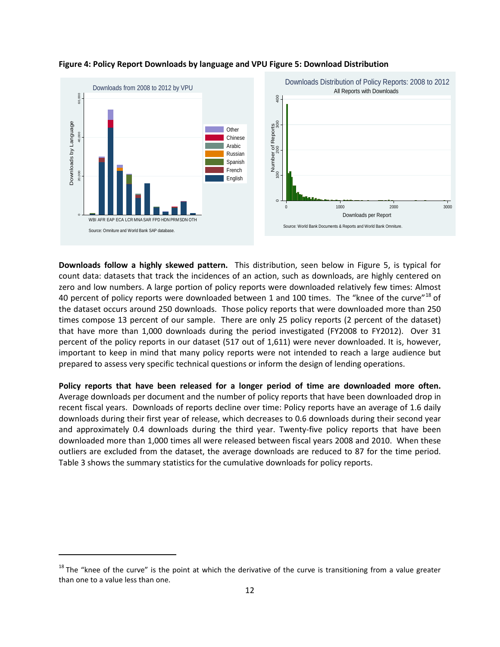

#### **Figure 4: Policy Report Downloads by language and VPU Figure 5: Download Distribution**

**Downloads follow a highly skewed pattern.** This distribution, seen below in Figure 5, is typical for count data: datasets that track the incidences of an action, such as downloads, are highly centered on zero and low numbers. A large portion of policy reports were downloaded relatively few times: Almost 40 percent of policy reports were downloaded between 1 and 100 times. The "knee of the curve"<sup>[18](#page-13-0)</sup> of the dataset occurs around 250 downloads. Those policy reports that were downloaded more than 250 times compose 13 percent of our sample. There are only 25 policy reports (2 percent of the dataset) that have more than 1,000 downloads during the period investigated (FY2008 to FY2012). Over 31 percent of the policy reports in our dataset (517 out of 1,611) were never downloaded. It is, however, important to keep in mind that many policy reports were not intended to reach a large audience but prepared to assess very specific technical questions or inform the design of lending operations.

**Policy reports that have been released for a longer period of time are downloaded more often.**  Average downloads per document and the number of policy reports that have been downloaded drop in recent fiscal years. Downloads of reports decline over time: Policy reports have an average of 1.6 daily downloads during their first year of release, which decreases to 0.6 downloads during their second year and approximately 0.4 downloads during the third year. Twenty-five policy reports that have been downloaded more than 1,000 times all were released between fiscal years 2008 and 2010. When these outliers are excluded from the dataset, the average downloads are reduced to 87 for the time period. Table 3 shows the summary statistics for the cumulative downloads for policy reports.

l

<span id="page-13-0"></span> $18$  The "knee of the curve" is the point at which the derivative of the curve is transitioning from a value greater than one to a value less than one.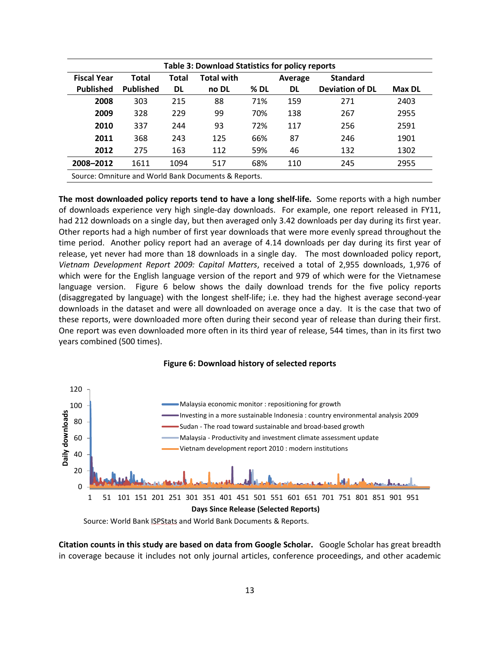| <b>Table 3: Download Statistics for policy reports</b> |                  |       |                                                      |      |         |                        |               |  |  |  |  |  |
|--------------------------------------------------------|------------------|-------|------------------------------------------------------|------|---------|------------------------|---------------|--|--|--|--|--|
| <b>Fiscal Year</b>                                     | Total            | Total | <b>Total with</b>                                    |      | Average | <b>Standard</b>        |               |  |  |  |  |  |
| <b>Published</b>                                       | <b>Published</b> | DL    | no DL                                                | % DL | DL      | <b>Deviation of DL</b> | <b>Max DL</b> |  |  |  |  |  |
| 2008                                                   | 303              | 215   | 88                                                   | 71%  | 159     | 271                    | 2403          |  |  |  |  |  |
| 2009                                                   | 328              | 229   | 99                                                   | 70%  | 138     | 267                    | 2955          |  |  |  |  |  |
| 2010                                                   | 337              | 244   | 93                                                   | 72%  | 117     | 256                    | 2591          |  |  |  |  |  |
| 2011                                                   | 368              | 243   | 125                                                  | 66%  | 87      | 246                    | 1901          |  |  |  |  |  |
| 2012                                                   | 275              | 163   | 112                                                  | 59%  | 46      | 132                    | 1302          |  |  |  |  |  |
| 2008-2012                                              | 1611             | 1094  | 517                                                  | 68%  | 110     | 245                    | 2955          |  |  |  |  |  |
|                                                        |                  |       | Source: Omniture and World Bank Documents & Reports. |      |         |                        |               |  |  |  |  |  |

**The most downloaded policy reports tend to have a long shelf-life.** Some reports with a high number of downloads experience very high single-day downloads. For example, one report released in FY11, had 212 downloads on a single day, but then averaged only 3.42 downloads per day during its first year. Other reports had a high number of first year downloads that were more evenly spread throughout the time period. Another policy report had an average of 4.14 downloads per day during its first year of release, yet never had more than 18 downloads in a single day. The most downloaded policy report, *Vietnam Development Report 2009: Capital Matters*, received a total of 2,955 downloads, 1,976 of which were for the English language version of the report and 979 of which were for the Vietnamese language version. Figure 6 below shows the daily download trends for the five policy reports (disaggregated by language) with the longest shelf-life; i.e. they had the highest average second-year downloads in the dataset and were all downloaded on average once a day. It is the case that two of these reports, were downloaded more often during their second year of release than during their first. One report was even downloaded more often in its third year of release, 544 times, than in its first two years combined (500 times).



#### **Figure 6: Download history of selected reports**

Source: World Bank ISPStats and World Bank Documents & Reports.

**Citation counts in this study are based on data from Google Scholar.** Google Scholar has great breadth in coverage because it includes not only journal articles, conference proceedings, and other academic

**Days Since Release (Selected Reports)**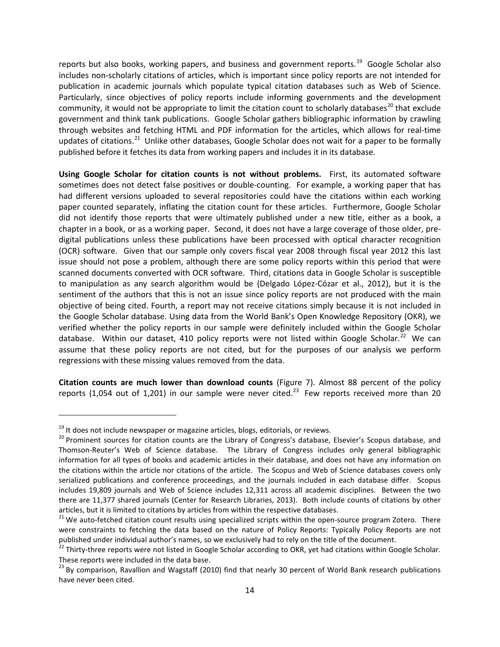reports but also books, working papers, and business and government reports.<sup>19</sup> Google Scholar also includes non-scholarly citations of articles, which is important since policy reports are not intended for publication in academic journals which populate typical citation databases such as Web of Science. Particularly, since objectives of policy reports include informing governments and the development community, it would not be appropriate to limit the citation count to scholarly databases<sup>[20](#page-15-1)</sup> that exclude government and think tank publications. Google Scholar gathers bibliographic information by crawling through websites and fetching HTML and PDF information for the articles, which allows for real-time updates of citations.<sup>21</sup> Unlike other databases, Google Scholar does not wait for a paper to be formally published before it fetches its data from working papers and includes it in its database.

**Using Google Scholar for citation counts is not without problems.** First, its automated software sometimes does not detect false positives or double-counting. For example, a working paper that has had different versions uploaded to several repositories could have the citations within each working paper counted separately, inflating the citation count for these articles. Furthermore, Google Scholar did not identify those reports that were ultimately published under a new title, either as a book, a chapter in a book, or as a working paper. Second, it does not have a large coverage of those older, predigital publications unless these publications have been processed with optical character recognition (OCR) software. Given that our sample only covers fiscal year 2008 through fiscal year 2012 this last issue should not pose a problem, although there are some policy reports within this period that were scanned documents converted with OCR software. Third, citations data in Google Scholar is susceptible to manipulation as any search algorithm would be (Delgado López-Cózar et al., 2012), but it is the sentiment of the authors that this is not an issue since policy reports are not produced with the main objective of being cited. Fourth, a report may not receive citations simply because it is not included in the Google Scholar database. Using data from the World Bank's Open Knowledge Repository (OKR), we verified whether the policy reports in our sample were definitely included within the Google Scholar database. Within our dataset, 410 policy reports were not listed within Google Scholar.<sup>[22](#page-15-3)</sup> We can assume that these policy reports are not cited, but for the purposes of our analysis we perform regressions with these missing values removed from the data.

**Citation counts are much lower than download counts** (Figure 7). Almost 88 percent of the policy reports (1,054 out of 1,201) in our sample were never cited.<sup>[23](#page-15-4)</sup> Few reports received more than 20

 $\overline{\phantom{a}}$ 

<span id="page-15-1"></span><span id="page-15-0"></span><sup>&</sup>lt;sup>19</sup> It does not include newspaper or magazine articles, blogs, editorials, or reviews.<br><sup>20</sup> Prominent sources for citation counts are the Library of Congress's database, Elsevier's Scopus database, and Thomson-Reuter's Web of Science database. The Library of Congress includes only general bibliographic information for all types of books and academic articles in their database, and does not have any information on the citations within the article nor citations of the article. The Scopus and Web of Science databases covers only serialized publications and conference proceedings, and the journals included in each database differ. Scopus includes 19,809 journals and Web of Science includes 12,311 across all academic disciplines. Between the two there are 11,377 shared journals (Center for Research Libraries, 2013). Both include counts of citations by other articles, but it is limited to citations by articles from within the respective databases.

<span id="page-15-2"></span><sup>&</sup>lt;sup>21</sup> We auto-fetched citation count results using specialized scripts within the open-source program Zotero. There were constraints to fetching the data based on the nature of Policy Reports: Typically Policy Reports are not published under individual author's names, so we exclusively had to rely on the title of the document.<br><sup>22</sup> Thirty-three reports were not listed in Google Scholar according to OKR, yet had citations within Google Scholar.

<span id="page-15-3"></span>These reports were included in the data base.

<span id="page-15-4"></span><sup>&</sup>lt;sup>23</sup> By comparison, Ravallion and Wagstaff (2010) find that nearly 30 percent of World Bank research publications have never been cited.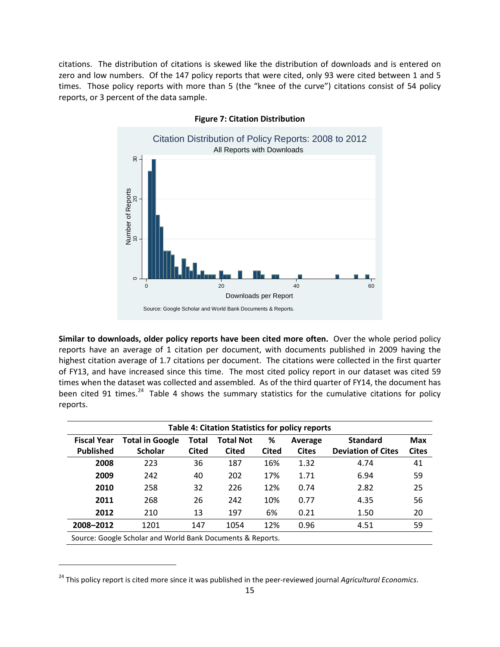citations. The distribution of citations is skewed like the distribution of downloads and is entered on zero and low numbers. Of the 147 policy reports that were cited, only 93 were cited between 1 and 5 times. Those policy reports with more than 5 (the "knee of the curve") citations consist of 54 policy reports, or 3 percent of the data sample.



**Figure 7: Citation Distribution**

**Similar to downloads, older policy reports have been cited more often.** Over the whole period policy reports have an average of 1 citation per document, with documents published in 2009 having the highest citation average of 1.7 citations per document. The citations were collected in the first quarter of FY13, and have increased since this time. The most cited policy report in our dataset was cited 59 times when the dataset was collected and assembled. As of the third quarter of FY14, the document has been cited 91 times.<sup>[24](#page-16-0)</sup> Table 4 shows the summary statistics for the cumulative citations for policy reports.

|                    | <b>Table 4: Citation Statistics for policy reports</b>                                        |              |              |              |              |                           |              |  |  |  |  |  |  |
|--------------------|-----------------------------------------------------------------------------------------------|--------------|--------------|--------------|--------------|---------------------------|--------------|--|--|--|--|--|--|
| <b>Fiscal Year</b> | <b>Total Not</b><br>%<br><b>Standard</b><br><b>Total in Google</b><br><b>Total</b><br>Average |              |              |              |              |                           | <b>Max</b>   |  |  |  |  |  |  |
| <b>Published</b>   | <b>Scholar</b>                                                                                | <b>Cited</b> | <b>Cited</b> | <b>Cited</b> | <b>Cites</b> | <b>Deviation of Cites</b> | <b>Cites</b> |  |  |  |  |  |  |
| 2008               | 223                                                                                           | 36           | 187          | 16%          | 1.32         | 4.74                      | 41           |  |  |  |  |  |  |
| 2009               | 242                                                                                           | 40           | 202          | 17%          | 1.71         | 6.94                      | 59           |  |  |  |  |  |  |
| 2010               | 258                                                                                           | 32           | 226          | 12%          | 0.74         | 2.82                      | 25           |  |  |  |  |  |  |
| 2011               | 268                                                                                           | 26           | 242          | 10%          | 0.77         | 4.35                      | 56           |  |  |  |  |  |  |
| 2012               | 210                                                                                           | 13           | 197          | 6%           | 0.21         | 1.50                      | 20           |  |  |  |  |  |  |
| 2008-2012          | 1201                                                                                          | 147          | 1054         | 12%          | 0.96         | 4.51                      | 59           |  |  |  |  |  |  |
|                    | Source: Google Scholar and World Bank Documents & Reports.                                    |              |              |              |              |                           |              |  |  |  |  |  |  |

<span id="page-16-0"></span><sup>&</sup>lt;sup>24</sup> This policy report is cited more since it was published in the peer-reviewed journal *Agricultural Economics*.

l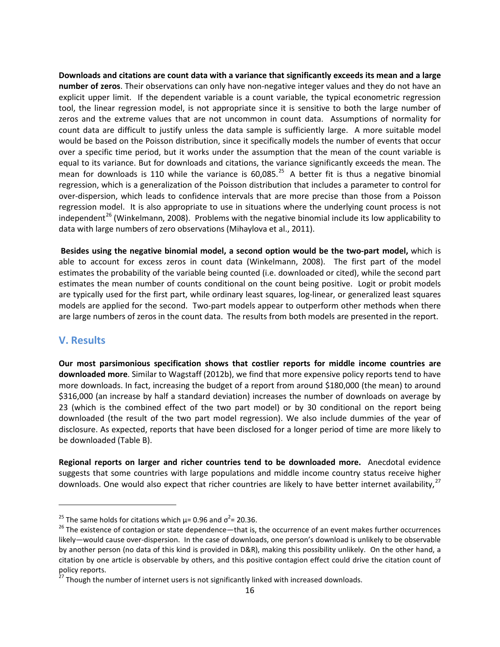**Downloads and citations are count data with a variance that significantly exceeds its mean and a large number of zeros**. Their observations can only have non-negative integer values and they do not have an explicit upper limit. If the dependent variable is a count variable, the typical econometric regression tool, the linear regression model, is not appropriate since it is sensitive to both the large number of zeros and the extreme values that are not uncommon in count data. Assumptions of normality for count data are difficult to justify unless the data sample is sufficiently large. A more suitable model would be based on the Poisson distribution, since it specifically models the number of events that occur over a specific time period, but it works under the assumption that the mean of the count variable is equal to its variance. But for downloads and citations, the variance significantly exceeds the mean. The mean for downloads is 110 while the variance is  $60,085$ <sup>[25](#page-17-0)</sup> A better fit is thus a negative binomial regression, which is a generalization of the Poisson distribution that includes a parameter to control for over-dispersion, which leads to confidence intervals that are more precise than those from a Poisson regression model. It is also appropriate to use in situations where the underlying count process is not independent<sup>[26](#page-17-1)</sup> (Winkelmann, 2008). Problems with the negative binomial include its low applicability to data with large numbers of zero observations (Mihaylova et al., 2011).

**Besides using the negative binomial model, a second option would be the two-part model,** which is able to account for excess zeros in count data (Winkelmann, 2008). The first part of the model estimates the probability of the variable being counted (i.e. downloaded or cited), while the second part estimates the mean number of counts conditional on the count being positive. Logit or probit models are typically used for the first part, while ordinary least squares, log-linear, or generalized least squares models are applied for the second. Two-part models appear to outperform other methods when there are large numbers of zeros in the count data. The results from both models are presented in the report.

# **V. Results**

 $\overline{\phantom{a}}$ 

**Our most parsimonious specification shows that costlier reports for middle income countries are downloaded more**. Similar to Wagstaff (2012b), we find that more expensive policy reports tend to have more downloads. In fact, increasing the budget of a report from around \$180,000 (the mean) to around \$316,000 (an increase by half a standard deviation) increases the number of downloads on average by 23 (which is the combined effect of the two part model) or by 30 conditional on the report being downloaded (the result of the two part model regression). We also include dummies of the year of disclosure. As expected, reports that have been disclosed for a longer period of time are more likely to be downloaded (Table B).

**Regional reports on larger and richer countries tend to be downloaded more.** Anecdotal evidence suggests that some countries with large populations and middle income country status receive higher downloads. One would also expect that richer countries are likely to have better internet availability,<sup>[27](#page-17-2)</sup>

<span id="page-17-0"></span><sup>&</sup>lt;sup>25</sup> The same holds for citations which  $\mu$  = 0.96 and  $\sigma^2$  = 20.36.

<span id="page-17-1"></span> $26$  The existence of contagion or state dependence—that is, the occurrence of an event makes further occurrences likely—would cause over-dispersion. In the case of downloads, one person's download is unlikely to be observable by another person (no data of this kind is provided in D&R), making this possibility unlikely. On the other hand, a citation by one article is observable by others, and this positive contagion effect could drive the citation count of policy reports.

<span id="page-17-2"></span><sup>&</sup>lt;sup>27</sup> Though the number of internet users is not significantly linked with increased downloads.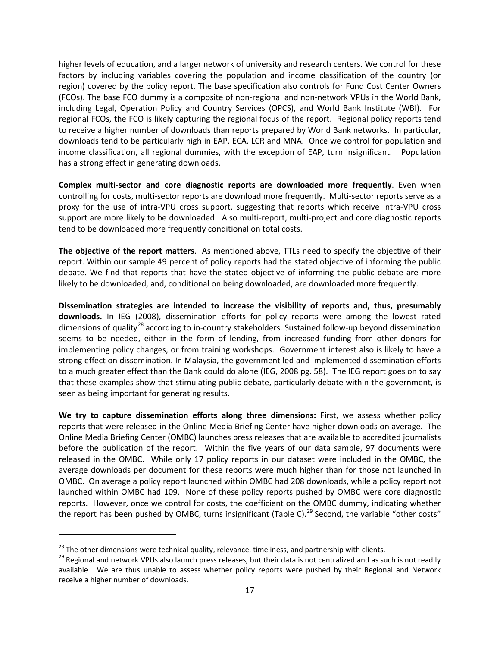higher levels of education, and a larger network of university and research centers. We control for these factors by including variables covering the population and income classification of the country (or region) covered by the policy report. The base specification also controls for Fund Cost Center Owners (FCOs). The base FCO dummy is a composite of non-regional and non-network VPUs in the World Bank, including Legal, Operation Policy and Country Services (OPCS), and World Bank Institute (WBI). For regional FCOs, the FCO is likely capturing the regional focus of the report. Regional policy reports tend to receive a higher number of downloads than reports prepared by World Bank networks. In particular, downloads tend to be particularly high in EAP, ECA, LCR and MNA. Once we control for population and income classification, all regional dummies, with the exception of EAP, turn insignificant. Population has a strong effect in generating downloads.

**Complex multi-sector and core diagnostic reports are downloaded more frequently**. Even when controlling for costs, multi-sector reports are download more frequently. Multi-sector reports serve as a proxy for the use of intra-VPU cross support, suggesting that reports which receive intra-VPU cross support are more likely to be downloaded. Also multi-report, multi-project and core diagnostic reports tend to be downloaded more frequently conditional on total costs.

**The objective of the report matters**. As mentioned above, TTLs need to specify the objective of their report. Within our sample 49 percent of policy reports had the stated objective of informing the public debate. We find that reports that have the stated objective of informing the public debate are more likely to be downloaded, and, conditional on being downloaded, are downloaded more frequently.

**Dissemination strategies are intended to increase the visibility of reports and, thus, presumably downloads.** In IEG (2008), dissemination efforts for policy reports were among the lowest rated dimensions of quality<sup>[28](#page-18-0)</sup> according to in-country stakeholders. Sustained follow-up beyond dissemination seems to be needed, either in the form of lending, from increased funding from other donors for implementing policy changes, or from training workshops. Government interest also is likely to have a strong effect on dissemination. In Malaysia, the government led and implemented dissemination efforts to a much greater effect than the Bank could do alone (IEG, 2008 pg. 58). The IEG report goes on to say that these examples show that stimulating public debate, particularly debate within the government, is seen as being important for generating results.

**We try to capture dissemination efforts along three dimensions:** First, we assess whether policy reports that were released in the Online Media Briefing Center have higher downloads on average. The Online Media Briefing Center (OMBC) launches press releases that are available to accredited journalists before the publication of the report. Within the five years of our data sample, 97 documents were released in the OMBC. While only 17 policy reports in our dataset were included in the OMBC, the average downloads per document for these reports were much higher than for those not launched in OMBC. On average a policy report launched within OMBC had 208 downloads, while a policy report not launched within OMBC had 109. None of these policy reports pushed by OMBC were core diagnostic reports. However, once we control for costs, the coefficient on the OMBC dummy, indicating whether the report has been pushed by OMBC, turns insignificant (Table C).<sup>[29](#page-18-1)</sup> Second, the variable "other costs"

l

<span id="page-18-1"></span><span id="page-18-0"></span><sup>&</sup>lt;sup>28</sup> The other dimensions were technical quality, relevance, timeliness, and partnership with clients.<br><sup>29</sup> Regional and network VPUs also launch press releases, but their data is not centralized and as such is not readil available. We are thus unable to assess whether policy reports were pushed by their Regional and Network receive a higher number of downloads.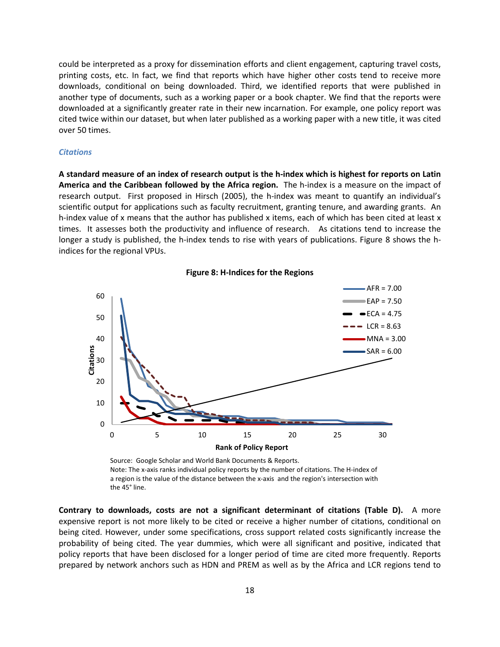could be interpreted as a proxy for dissemination efforts and client engagement, capturing travel costs, printing costs, etc. In fact, we find that reports which have higher other costs tend to receive more downloads, conditional on being downloaded. Third, we identified reports that were published in another type of documents, such as a working paper or a book chapter. We find that the reports were downloaded at a significantly greater rate in their new incarnation. For example, one policy report was cited twice within our dataset, but when later published as a working paper with a new title, it was cited over 50 times.

#### *Citations*

**A standard measure of an index of research output is the h-index which is highest for reports on Latin America and the Caribbean followed by the Africa region.** The h-index is a measure on the impact of research output. First proposed in Hirsch (2005), the h-index was meant to quantify an individual's scientific output for applications such as faculty recruitment, granting tenure, and awarding grants. An h-index value of x means that the author has published x items, each of which has been cited at least x times. It assesses both the productivity and influence of research. As citations tend to increase the longer a study is published, the h-index tends to rise with years of publications. Figure 8 shows the hindices for the regional VPUs.



**Figure 8: H-Indices for the Regions**

Source: Google Scholar and World Bank Documents & Reports. Note: The x-axis ranks individual policy reports by the number of citations. The H-index of a region is the value of the distance between the x-axis and the region's intersection with the 45° line.

**Contrary to downloads, costs are not a significant determinant of citations (Table D).** A more expensive report is not more likely to be cited or receive a higher number of citations, conditional on being cited. However, under some specifications, cross support related costs significantly increase the probability of being cited. The year dummies, which were all significant and positive, indicated that policy reports that have been disclosed for a longer period of time are cited more frequently. Reports prepared by network anchors such as HDN and PREM as well as by the Africa and LCR regions tend to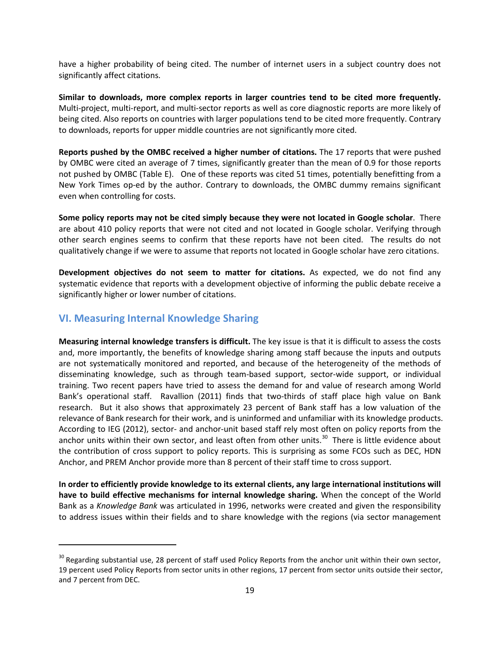have a higher probability of being cited. The number of internet users in a subject country does not significantly affect citations.

**Similar to downloads, more complex reports in larger countries tend to be cited more frequently.** Multi-project, multi-report, and multi-sector reports as well as core diagnostic reports are more likely of being cited. Also reports on countries with larger populations tend to be cited more frequently. Contrary to downloads, reports for upper middle countries are not significantly more cited.

**Reports pushed by the OMBC received a higher number of citations.** The 17 reports that were pushed by OMBC were cited an average of 7 times, significantly greater than the mean of 0.9 for those reports not pushed by OMBC (Table E). One of these reports was cited 51 times, potentially benefitting from a New York Times op-ed by the author. Contrary to downloads, the OMBC dummy remains significant even when controlling for costs.

**Some policy reports may not be cited simply because they were not located in Google scholar**. There are about 410 policy reports that were not cited and not located in Google scholar. Verifying through other search engines seems to confirm that these reports have not been cited. The results do not qualitatively change if we were to assume that reports not located in Google scholar have zero citations.

**Development objectives do not seem to matter for citations.** As expected, we do not find any systematic evidence that reports with a development objective of informing the public debate receive a significantly higher or lower number of citations.

# **VI. Measuring Internal Knowledge Sharing**

 $\overline{\phantom{a}}$ 

**Measuring internal knowledge transfers is difficult.** The key issue is that it is difficult to assess the costs and, more importantly, the benefits of knowledge sharing among staff because the inputs and outputs are not systematically monitored and reported, and because of the heterogeneity of the methods of disseminating knowledge, such as through team-based support, sector-wide support, or individual training. Two recent papers have tried to assess the demand for and value of research among World Bank's operational staff. Ravallion (2011) finds that two-thirds of staff place high value on Bank research. But it also shows that approximately 23 percent of Bank staff has a low valuation of the relevance of Bank research for their work, and is uninformed and unfamiliar with its knowledge products. According to IEG (2012), sector- and anchor-unit based staff rely most often on policy reports from the anchor units within their own sector, and least often from other units.<sup>[30](#page-20-0)</sup> There is little evidence about the contribution of cross support to policy reports. This is surprising as some FCOs such as DEC, HDN Anchor, and PREM Anchor provide more than 8 percent of their staff time to cross support.

**In order to efficiently provide knowledge to its external clients, any large international institutions will have to build effective mechanisms for internal knowledge sharing.** When the concept of the World Bank as a *Knowledge Bank* was articulated in 1996, networks were created and given the responsibility to address issues within their fields and to share knowledge with the regions (via sector management

<span id="page-20-0"></span> $30$  Regarding substantial use, 28 percent of staff used Policy Reports from the anchor unit within their own sector, 19 percent used Policy Reports from sector units in other regions, 17 percent from sector units outside their sector, and 7 percent from DEC.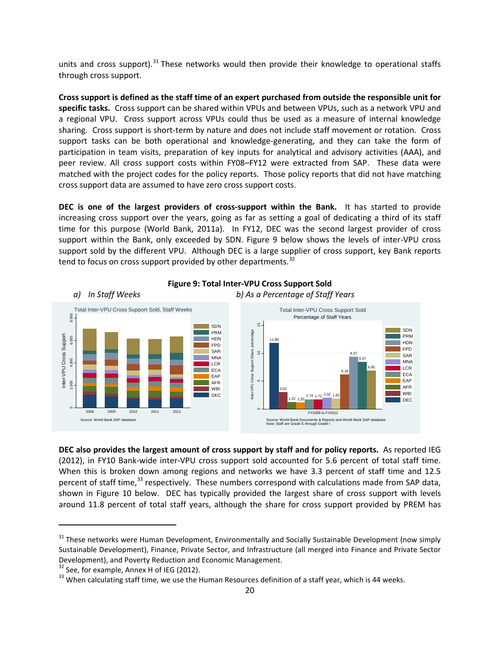units and cross support).<sup>[31](#page-21-0)</sup> These networks would then provide their knowledge to operational staffs through cross support.

**Cross support is defined as the staff time of an expert purchased from outside the responsible unit for specific tasks.** Cross support can be shared within VPUs and between VPUs, such as a network VPU and a regional VPU. Cross support across VPUs could thus be used as a measure of internal knowledge sharing. Cross support is short-term by nature and does not include staff movement or rotation. Cross support tasks can be both operational and knowledge-generating, and they can take the form of participation in team visits, preparation of key inputs for analytical and advisory activities (AAA), and peer review. All cross support costs within FY08–FY12 were extracted from SAP. These data were matched with the project codes for the policy reports. Those policy reports that did not have matching cross support data are assumed to have zero cross support costs.

**DEC is one of the largest providers of cross-support within the Bank.** It has started to provide increasing cross support over the years, going as far as setting a goal of dedicating a third of its staff time for this purpose (World Bank, 2011a). In FY12, DEC was the second largest provider of cross support within the Bank, only exceeded by SDN. Figure 9 below shows the levels of inter-VPU cross support sold by the different VPU. Although DEC is a large supplier of cross support, key Bank reports tend to focus on cross support provided by other departments.<sup>[32](#page-21-1)</sup>



**Figure 9: Total Inter-VPU Cross Support Sold**

**DEC also provides the largest amount of cross support by staff and for policy reports.** As reported IEG (2012), in FY10 Bank-wide inter-VPU cross support sold accounted for 5.6 percent of total staff time. When this is broken down among regions and networks we have 3.3 percent of staff time and 12.5 percent of staff time,<sup>[33](#page-21-2)</sup> respectively. These numbers correspond with calculations made from SAP data, shown in Figure 10 below. DEC has typically provided the largest share of cross support with levels around 11.8 percent of total staff years, although the share for cross support provided by PREM has

 $\overline{\phantom{a}}$ 

<span id="page-21-0"></span><sup>&</sup>lt;sup>31</sup> These networks were Human Development, Environmentally and Socially Sustainable Development (now simply Sustainable Development), Finance, Private Sector, and Infrastructure (all merged into Finance and Private Sector Development), and Poverty Reduction and Economic Management.<br><sup>32</sup> See, for example, Annex H of IEG (2012).

<span id="page-21-1"></span>

<span id="page-21-2"></span> $33$  When calculating staff time, we use the Human Resources definition of a staff year, which is 44 weeks.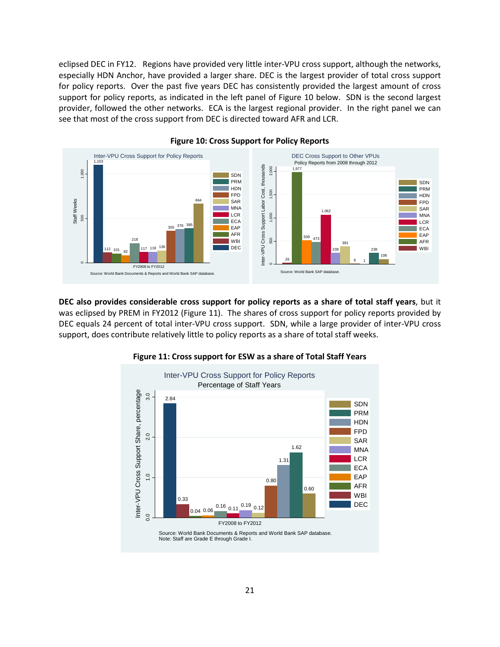eclipsed DEC in FY12. Regions have provided very little inter-VPU cross support, although the networks, especially HDN Anchor, have provided a larger share. DEC is the largest provider of total cross support for policy reports. Over the past five years DEC has consistently provided the largest amount of cross support for policy reports, as indicated in the left panel of Figure 10 below. SDN is the second largest provider, followed the other networks. ECA is the largest regional provider. In the right panel we can see that most of the cross support from DEC is directed toward AFR and LCR.



#### **Figure 10: Cross Support for Policy Reports**

**DEC also provides considerable cross support for policy reports as a share of total staff years**, but it was eclipsed by PREM in FY2012 (Figure 11). The shares of cross support for policy reports provided by DEC equals 24 percent of total inter-VPU cross support. SDN, while a large provider of inter-VPU cross support, does contribute relatively little to policy reports as a share of total staff weeks.



#### **Figure 11: Cross support for ESW as a share of Total Staff Years**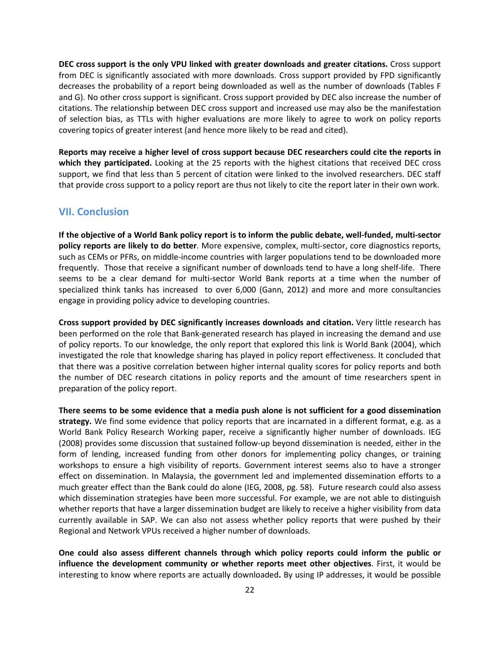**DEC cross support is the only VPU linked with greater downloads and greater citations.** Cross support from DEC is significantly associated with more downloads. Cross support provided by FPD significantly decreases the probability of a report being downloaded as well as the number of downloads (Tables F and G). No other cross support is significant. Cross support provided by DEC also increase the number of citations. The relationship between DEC cross support and increased use may also be the manifestation of selection bias, as TTLs with higher evaluations are more likely to agree to work on policy reports covering topics of greater interest (and hence more likely to be read and cited).

**Reports may receive a higher level of cross support because DEC researchers could cite the reports in which they participated.** Looking at the 25 reports with the highest citations that received DEC cross support, we find that less than 5 percent of citation were linked to the involved researchers. DEC staff that provide cross support to a policy report are thus not likely to cite the report later in their own work.

# **VII. Conclusion**

**If the objective of a World Bank policy report is to inform the public debate, well-funded, multi-sector policy reports are likely to do better**. More expensive, complex, multi-sector, core diagnostics reports, such as CEMs or PFRs, on middle-income countries with larger populations tend to be downloaded more frequently. Those that receive a significant number of downloads tend to have a long shelf-life. There seems to be a clear demand for multi-sector World Bank reports at a time when the number of specialized think tanks has increased to over 6,000 (Gann, 2012) and more and more consultancies engage in providing policy advice to developing countries.

**Cross support provided by DEC significantly increases downloads and citation.** Very little research has been performed on the role that Bank-generated research has played in increasing the demand and use of policy reports. To our knowledge, the only report that explored this link is World Bank (2004), which investigated the role that knowledge sharing has played in policy report effectiveness. It concluded that that there was a positive correlation between higher internal quality scores for policy reports and both the number of DEC research citations in policy reports and the amount of time researchers spent in preparation of the policy report.

**There seems to be some evidence that a media push alone is not sufficient for a good dissemination strategy.** We find some evidence that policy reports that are incarnated in a different format, e.g. as a World Bank Policy Research Working paper, receive a significantly higher number of downloads. IEG (2008) provides some discussion that sustained follow-up beyond dissemination is needed, either in the form of lending, increased funding from other donors for implementing policy changes, or training workshops to ensure a high visibility of reports. Government interest seems also to have a stronger effect on dissemination. In Malaysia, the government led and implemented dissemination efforts to a much greater effect than the Bank could do alone (IEG, 2008, pg. 58). Future research could also assess which dissemination strategies have been more successful. For example, we are not able to distinguish whether reports that have a larger dissemination budget are likely to receive a higher visibility from data currently available in SAP. We can also not assess whether policy reports that were pushed by their Regional and Network VPUs received a higher number of downloads.

**One could also assess different channels through which policy reports could inform the public or influence the development community or whether reports meet other objectives**. First, it would be interesting to know where reports are actually downloaded**.** By using IP addresses, it would be possible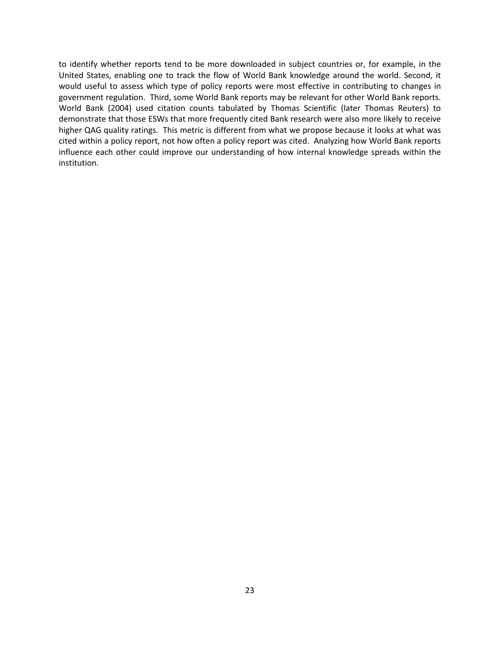to identify whether reports tend to be more downloaded in subject countries or, for example, in the United States, enabling one to track the flow of World Bank knowledge around the world. Second, it would useful to assess which type of policy reports were most effective in contributing to changes in government regulation. Third, some World Bank reports may be relevant for other World Bank reports. World Bank (2004) used citation counts tabulated by Thomas Scientific (later Thomas Reuters) to demonstrate that those ESWs that more frequently cited Bank research were also more likely to receive higher QAG quality ratings. This metric is different from what we propose because it looks at what was cited within a policy report, not how often a policy report was cited. Analyzing how World Bank reports influence each other could improve our understanding of how internal knowledge spreads within the institution.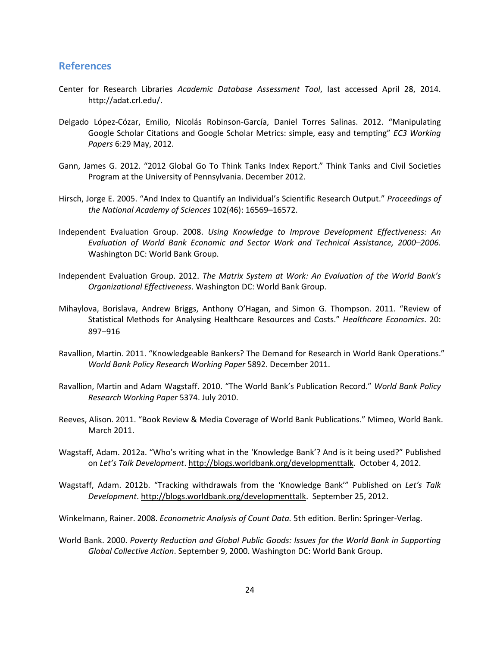## **References**

- Center for Research Libraries *Academic Database Assessment Tool*, last accessed April 28, 2014. http://adat.crl.edu/.
- Delgado López-Cózar, Emilio, Nicolás Robinson-García, Daniel Torres Salinas. 2012. "Manipulating Google Scholar Citations and Google Scholar Metrics: simple, easy and tempting" *EC3 Working Papers* 6:29 May, 2012.
- Gann, James G. 2012. "2012 Global Go To Think Tanks Index Report." Think Tanks and Civil Societies Program at the University of Pennsylvania. December 2012.
- Hirsch, Jorge E. 2005. "And Index to Quantify an Individual's Scientific Research Output." *Proceedings of the National Academy of Sciences* 102(46): 16569–16572.
- Independent Evaluation Group. 2008. *Using Knowledge to Improve Development Effectiveness: An Evaluation of World Bank Economic and Sector Work and Technical Assistance, 2000–2006.* Washington DC: World Bank Group.
- Independent Evaluation Group. 2012. *The Matrix System at Work: An Evaluation of the World Bank's Organizational Effectiveness*. Washington DC: World Bank Group.
- Mihaylova, Borislava, Andrew Briggs, Anthony O'Hagan, and Simon G. Thompson. 2011. "Review of Statistical Methods for Analysing Healthcare Resources and Costs." *Healthcare Economics*. 20: 897–916
- Ravallion, Martin. 2011. "Knowledgeable Bankers? The Demand for Research in World Bank Operations." *World Bank Policy Research Working Paper* 5892. December 2011.
- Ravallion, Martin and Adam Wagstaff. 2010. "The World Bank's Publication Record." *World Bank Policy Research Working Paper* 5374. July 2010.
- Reeves, Alison. 2011. "Book Review & Media Coverage of World Bank Publications." Mimeo, World Bank. March 2011.
- Wagstaff, Adam. 2012a. "Who's writing what in the 'Knowledge Bank'? And is it being used?" Published on *Let's Talk Development*[. http://blogs.worldbank.org/developmenttalk.](http://blogs.worldbank.org/developmenttalk) October 4, 2012.
- Wagstaff, Adam. 2012b. "Tracking withdrawals from the 'Knowledge Bank'" Published on *Let's Talk Development*[. http://blogs.worldbank.org/developmenttalk.](http://blogs.worldbank.org/developmenttalk) September 25, 2012.
- Winkelmann, Rainer. 2008. *Econometric Analysis of Count Data.* 5th edition. Berlin: Springer-Verlag.
- World Bank. 2000. *Poverty Reduction and Global Public Goods: Issues for the World Bank in Supporting Global Collective Action*. September 9, 2000. Washington DC: World Bank Group.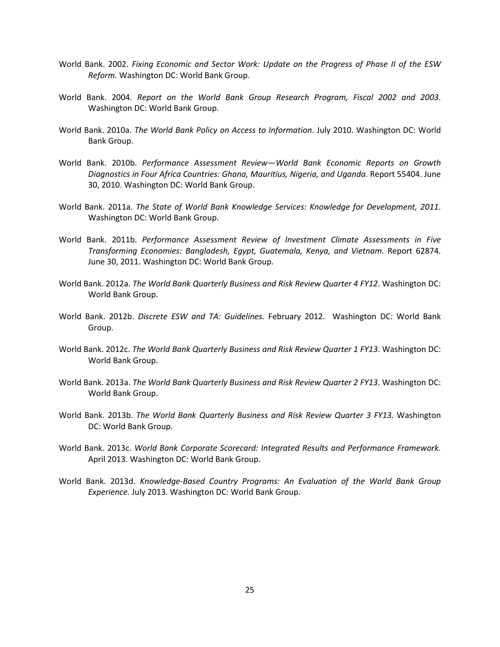- World Bank. 2002. *Fixing Economic and Sector Work: Update on the Progress of Phase II of the ESW Reform.* Washington DC: World Bank Group.
- World Bank. 2004. *Report on the World Bank Group Research Program, Fiscal 2002 and 2003*. Washington DC: World Bank Group.
- World Bank. 2010a. *The World Bank Policy on Access to Information*. July 2010. Washington DC: World Bank Group.
- World Bank. 2010b. *Performance Assessment Review—World Bank Economic Reports on Growth Diagnostics in Four Africa Countries: Ghana, Mauritius, Nigeria, and Uganda*. Report 55404. June 30, 2010. Washington DC: World Bank Group.
- World Bank. 2011a. *The State of World Bank Knowledge Services: Knowledge for Development, 2011*. Washington DC: World Bank Group.
- World Bank. 2011b. *Performance Assessment Review of Investment Climate Assessments in Five Transforming Economies: Bangladesh, Egypt, Guatemala, Kenya, and Vietnam*. Report 62874. June 30, 2011. Washington DC: World Bank Group.
- World Bank. 2012a. *The World Bank Quarterly Business and Risk Review Quarter 4 FY12*. Washington DC: World Bank Group.
- World Bank. 2012b. *Discrete ESW and TA: Guidelines.* February 2012. Washington DC: World Bank Group.
- World Bank. 2012c. *The World Bank Quarterly Business and Risk Review Quarter 1 FY13*. Washington DC: World Bank Group.
- World Bank. 2013a. *The World Bank Quarterly Business and Risk Review Quarter 2 FY13*. Washington DC: World Bank Group.
- World Bank. 2013b. *The World Bank Quarterly Business and Risk Review Quarter 3 FY13*. Washington DC: World Bank Group.
- World Bank. 2013c. *World Bank Corporate Scorecard: Integrated Results and Performance Framework.*  April 2013*.* Washington DC: World Bank Group.
- World Bank. 2013d. *Knowledge-Based Country Programs: An Evaluation of the World Bank Group Experience.* July 2013*.* Washington DC: World Bank Group.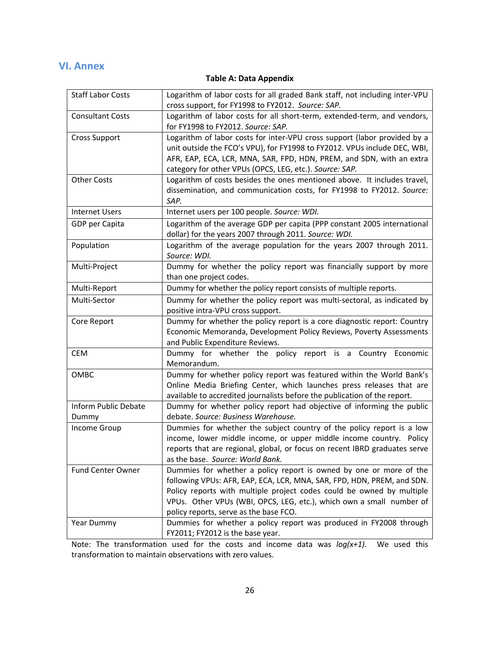# **VI. Annex**

# **Table A: Data Appendix**

| <b>Staff Labor Costs</b> | Logarithm of labor costs for all graded Bank staff, not including inter-VPU<br>cross support, for FY1998 to FY2012. Source: SAP.                                                                                                                                                                                                        |
|--------------------------|-----------------------------------------------------------------------------------------------------------------------------------------------------------------------------------------------------------------------------------------------------------------------------------------------------------------------------------------|
| <b>Consultant Costs</b>  | Logarithm of labor costs for all short-term, extended-term, and vendors,<br>for FY1998 to FY2012. Source: SAP.                                                                                                                                                                                                                          |
| <b>Cross Support</b>     | Logarithm of labor costs for inter-VPU cross support (labor provided by a<br>unit outside the FCO's VPU), for FY1998 to FY2012. VPUs include DEC, WBI,<br>AFR, EAP, ECA, LCR, MNA, SAR, FPD, HDN, PREM, and SDN, with an extra<br>category for other VPUs (OPCS, LEG, etc.). Source: SAP.                                               |
| <b>Other Costs</b>       | Logarithm of costs besides the ones mentioned above. It includes travel,<br>dissemination, and communication costs, for FY1998 to FY2012. Source:<br>SAP.                                                                                                                                                                               |
| <b>Internet Users</b>    | Internet users per 100 people. Source: WDI.                                                                                                                                                                                                                                                                                             |
| GDP per Capita           | Logarithm of the average GDP per capita (PPP constant 2005 international<br>dollar) for the years 2007 through 2011. Source: WDI.                                                                                                                                                                                                       |
| Population               | Logarithm of the average population for the years 2007 through 2011.<br>Source: WDI.                                                                                                                                                                                                                                                    |
| Multi-Project            | Dummy for whether the policy report was financially support by more<br>than one project codes.                                                                                                                                                                                                                                          |
| Multi-Report             | Dummy for whether the policy report consists of multiple reports.                                                                                                                                                                                                                                                                       |
| Multi-Sector             | Dummy for whether the policy report was multi-sectoral, as indicated by<br>positive intra-VPU cross support.                                                                                                                                                                                                                            |
| Core Report              | Dummy for whether the policy report is a core diagnostic report: Country<br>Economic Memoranda, Development Policy Reviews, Poverty Assessments<br>and Public Expenditure Reviews.                                                                                                                                                      |
| <b>CEM</b>               | Dummy for whether the policy report is a Country<br>Economic<br>Memorandum.                                                                                                                                                                                                                                                             |
| OMBC                     | Dummy for whether policy report was featured within the World Bank's<br>Online Media Briefing Center, which launches press releases that are<br>available to accredited journalists before the publication of the report.                                                                                                               |
| Inform Public Debate     | Dummy for whether policy report had objective of informing the public                                                                                                                                                                                                                                                                   |
| Dummy                    | debate. Source: Business Warehouse.                                                                                                                                                                                                                                                                                                     |
| <b>Income Group</b>      | Dummies for whether the subject country of the policy report is a low<br>income, lower middle income, or upper middle income country. Policy<br>reports that are regional, global, or focus on recent IBRD graduates serve<br>as the base. Source: World Bank.                                                                          |
| <b>Fund Center Owner</b> | Dummies for whether a policy report is owned by one or more of the<br>following VPUs: AFR, EAP, ECA, LCR, MNA, SAR, FPD, HDN, PREM, and SDN.<br>Policy reports with multiple project codes could be owned by multiple<br>VPUs. Other VPUs (WBI, OPCS, LEG, etc.), which own a small number of<br>policy reports, serve as the base FCO. |
| Year Dummy               | Dummies for whether a policy report was produced in FY2008 through<br>FY2011; FY2012 is the base year.                                                                                                                                                                                                                                  |

Note: The transformation used for the costs and income data was *log(x+1)*. We used this transformation to maintain observations with zero values.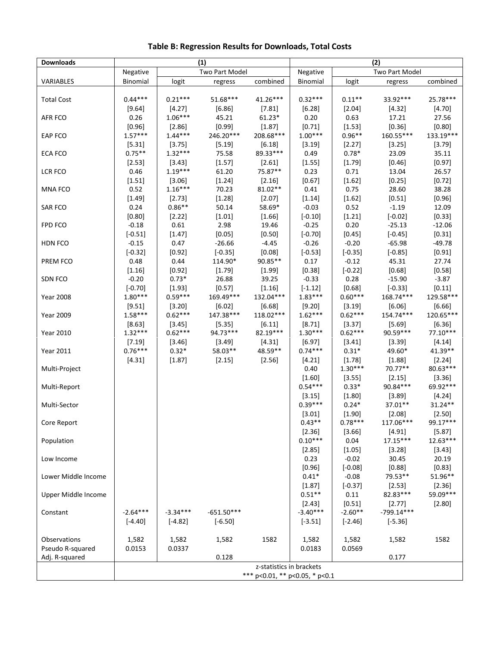| <b>Downloads</b>    | (1)<br>(2)        |                 |                 |                          |                 |                      |                    |                   |
|---------------------|-------------------|-----------------|-----------------|--------------------------|-----------------|----------------------|--------------------|-------------------|
|                     | Negative          |                 | Two Part Model  |                          | Negative        |                      | Two Part Model     |                   |
| VARIABLES           | Binomial          | logit           | regress         | combined                 | Binomial        | logit                | regress            | combined          |
|                     |                   |                 |                 |                          |                 |                      |                    |                   |
| <b>Total Cost</b>   | $0.44***$         | $0.21***$       | 51.68***        | 41.26***                 | $0.32***$       | $0.11***$            | 33.92***           | 25.78***          |
|                     | [9.64]            | $[4.27]$        | [6.86]          | [7.81]                   | [6.28]          | $[2.04]$             | [4.32]             | [4.70]            |
| AFR FCO             | 0.26              | $1.06***$       | 45.21           | $61.23*$                 | 0.20            | 0.63                 | 17.21              | 27.56             |
|                     | [0.96]            | $[2.86]$        | [0.99]          | [1.87]                   | $[0.71]$        | [1.53]               | [0.36]             | [0.80]            |
| EAP FCO             | $1.57***$         | $1.44***$       | 246.20***       | 208.68***                | $1.00***$       | $0.96**$             | 160.55***          | 133.19***         |
|                     | [5.31]            | [3.75]          | [5.19]          | [6.18]                   | [3.19]          | [2.27]               | [3.25]             | [3.79]            |
| ECA FCO             | $0.75***$         | $1.32***$       | 75.58           | 89.33***                 | 0.49            | $0.78*$              | 23.09              | 35.11             |
|                     | [2.53]            | [3.43]          | [1.57]          | [2.61]                   | [1.55]          | [1.79]               | [0.46]             | [0.97]            |
| LCR FCO             | 0.46              | $1.19***$       | 61.20           | 75.87**                  | 0.23            | 0.71                 | 13.04              | 26.57             |
|                     | [1.51]            | [3.06]          | [1.24]          | [2.16]                   | [0.67]          | [1.62]               | [0.25]             | [0.72]            |
| MNA FCO             | 0.52              | $1.16***$       | 70.23           | 81.02**                  | $0.41\,$        | 0.75                 | 28.60              | 38.28             |
|                     | [1.49]            | [2.73]          | [1.28]          | [2.07]                   | [1.14]          | [1.62]               | [0.51]             | [0.96]            |
| SAR FCO             | 0.24              | $0.86**$        | 50.14           | 58.69*                   | $-0.03$         | 0.52                 | $-1.19$            | 12.09             |
|                     | [0.80]            | [2.22]          | [1.01]          | [1.66]                   | $[-0.10]$       | [1.21]               | $[-0.02]$          | [0.33]            |
| <b>FPD FCO</b>      | $-0.18$           | 0.61            | 2.98            | 19.46                    | $-0.25$         | 0.20                 | $-25.13$           | $-12.06$          |
|                     | $[-0.51]$         | [1.47]          | [0.05]          | [0.50]                   | $[-0.70]$       | [0.45]               | $[-0.45]$          | [0.31]            |
| HDN FCO             | $-0.15$           | 0.47            | $-26.66$        | $-4.45$                  | $-0.26$         | $-0.20$              | $-65.98$           | $-49.78$          |
|                     | $[-0.32]$         | [0.92]          | $[-0.35]$       | [0.08]<br>90.85**        | $[-0.53]$       | $[-0.35]$            | $[-0.85]$          | [0.91]<br>27.74   |
| PREM FCO            | 0.48              | 0.44<br>[0.92]  | 114.90*         |                          | 0.17<br>[0.38]  | $-0.12$<br>$[-0.22]$ | 45.31              |                   |
| SDN FCO             | [1.16]<br>$-0.20$ | $0.73*$         | [1.79]<br>26.88 | [1.99]<br>39.25          | $-0.33$         | 0.28                 | [0.68]<br>$-15.90$ | [0.58]<br>$-3.87$ |
|                     | $[-0.70]$         | [1.93]          | [0.57]          | [1.16]                   | $[-1.12]$       | [0.68]               | $[-0.33]$          | [0.11]            |
| <b>Year 2008</b>    | $1.80***$         | $0.59***$       | 169.49***       | 132.04***                | $1.83***$       | $0.60***$            | 168.74***          | 129.58***         |
|                     | $[9.51]$          | [3.20]          | [6.02]          | [6.68]                   | [9.20]          | [3.19]               | [6.06]             | [6.66]            |
| <b>Year 2009</b>    | $1.58***$         | $0.62***$       | 147.38***       | 118.02***                | $1.62***$       | $0.62***$            | 154.74***          | 120.65***         |
|                     | $[8.63]$          | $[3.45]$        | $[5.35]$        | [6.11]                   | [8.71]          | $[3.37]$             | $[5.69]$           | [6.36]            |
| <b>Year 2010</b>    | $1.32***$         | $0.62***$       | 94.73***        | 82.19***                 | $1.30***$       | $0.62***$            | 90.59***           | $77.10***$        |
|                     | [7.19]            | [3.46]          | $[3.49]$        | [4.31]                   | [6.97]          | [3.41]               | [3.39]             | [4.14]            |
| Year 2011           | $0.76***$         | $0.32*$         | 58.03**         | 48.59**                  | $0.74***$       | $0.31*$              | 49.60*             | 41.39**           |
|                     | [4.31]            | [1.87]          | [2.15]          | [2.56]                   | [4.21]          | [1.78]               | [1.88]             | [2.24]            |
| Multi-Project       |                   |                 |                 |                          | 0.40            | $1.30***$            | 70.77**            | 80.63***          |
|                     |                   |                 |                 |                          | $[1.60]$        | [3.55]               | [2.15]             | [3.36]            |
| Multi-Report        |                   |                 |                 |                          | $0.54***$       | $0.33*$              | 90.84***           | 69.92***          |
|                     |                   |                 |                 |                          | [3.15]          | [1.80]               | [3.89]             | [4.24]            |
| Multi-Sector        |                   |                 |                 |                          | $0.39***$       | $0.24*$              | $37.01**$          | $31.24**$         |
|                     |                   |                 |                 |                          | [3.01]          | [1.90]               | [2.08]             | [2.50]            |
| Core Report         |                   |                 |                 |                          | $0.43**$        | $0.78***$            | 117.06***          | 99.17***          |
|                     |                   |                 |                 |                          | $[2.36]$        | [3.66]               | [4.91]             | [5.87]            |
| Population          |                   |                 |                 |                          | $0.10***$       | 0.04                 | $17.15***$         | $12.63***$        |
|                     |                   |                 |                 |                          | [2.85]          | [1.05]               | [3.28]             | [3.43]            |
| Low Income          |                   |                 |                 |                          | 0.23            | $-0.02$              | 30.45              | 20.19             |
|                     |                   |                 |                 |                          | [0.96]          | $[-0.08]$            | [0.88]             | [0.83]            |
| Lower Middle Income |                   |                 |                 |                          | $0.41*$         | $-0.08$              | 79.53**            | 51.96**           |
|                     |                   |                 |                 |                          | [1.87]          | $[-0.37]$            | $[2.53]$           | $[2.36]$          |
| Upper Middle Income |                   |                 |                 |                          | $0.51**$        | 0.11                 | 82.83***           | 59.09***          |
|                     |                   |                 |                 |                          | [2.43]          | [0.51]               | [2.77]             | [2.80]            |
| Constant            | $-2.64***$        | $-3.34***$      | $-651.50***$    |                          | $-3.40***$      | $-2.60**$            | $-799.14***$       |                   |
|                     | $[-4.40]$         | $[-4.82]$       | $[-6.50]$       |                          | $[-3.51]$       | $[-2.46]$            | $[-5.36]$          |                   |
|                     |                   |                 |                 |                          |                 |                      |                    |                   |
| Observations        | 1,582<br>0.0153   | 1,582<br>0.0337 | 1,582           | 1582                     | 1,582<br>0.0183 | 1,582<br>0.0569      | 1,582              | 1582              |
| Pseudo R-squared    |                   |                 | 0.128           |                          |                 |                      | 0.177              |                   |
| Adj. R-squared      |                   |                 |                 |                          |                 |                      |                    |                   |
|                     |                   |                 |                 | z-statistics in brackets |                 |                      |                    |                   |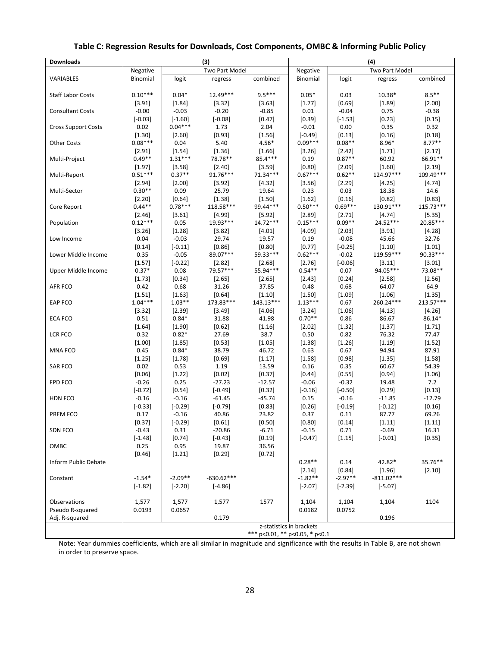| <b>Downloads</b>           | (3)                   |                   |                | (4)                            |                          |                      |                   |                    |
|----------------------------|-----------------------|-------------------|----------------|--------------------------------|--------------------------|----------------------|-------------------|--------------------|
|                            | Negative              |                   | Two Part Model |                                | Negative                 |                      | Two Part Model    |                    |
| VARIABLES                  | Binomial              | logit             | regress        | combined                       | Binomial                 | logit                | regress           | combined           |
|                            |                       |                   |                |                                |                          |                      |                   |                    |
| <b>Staff Labor Costs</b>   | $0.10***$             | $0.04*$           | 12.49***       | $9.5***$                       | $0.05*$                  | 0.03                 | 10.38*            | $8.5***$           |
|                            | [3.91]                | $[1.84]$          | [3.32]         | [3.63]                         | [1.77]                   | [0.69]               | [1.89]            | $[2.00]$           |
| <b>Consultant Costs</b>    | $-0.00$               | $-0.03$           | $-0.20$        | $-0.85$                        | 0.01                     | $-0.04$              | 0.75              | $-0.38$            |
|                            | $[-0.03]$             | $[-1.60]$         | $[-0.08]$      | [0.47]                         | [0.39]                   | $[-1.53]$            | [0.23]            | [0.15]             |
| <b>Cross Support Costs</b> | 0.02                  | $0.04***$         | 1.73           | 2.04                           | $-0.01$                  | 0.00                 | 0.35              | 0.32               |
|                            | $[1.30]$<br>$0.08***$ | $[2.60]$<br>0.04  | [0.93]<br>5.40 | [1.56]<br>$4.56*$              | $[-0.49]$<br>$0.09***$   | $[0.13]$<br>$0.08**$ | [0.16]<br>$8.96*$ | [0.18]<br>$8.77**$ |
| <b>Other Costs</b>         | [2.91]                | $[1.54]$          | [1.36]         | $[1.66]$                       |                          | $[2.42]$             | [1.71]            | [2.17]             |
| Multi-Project              | $0.49**$              | $1.31***$         | 78.78**        | 85.4***                        | [3.26]<br>0.19           | $0.87**$             | 60.92             | 66.91**            |
|                            | $[1.97]$              | [3.58]            | [2.40]         | [3.59]                         | [0.80]                   | $[2.09]$             | [1.60]            | [2.19]             |
| Multi-Report               | $0.51***$             | $0.37**$          | 91.76***       | $71.34***$                     | $0.67***$                | $0.62**$             | 124.97***         | 109.49***          |
|                            | [2.94]                | [2.00]            | [3.92]         | [4.32]                         | [3.56]                   | $[2.29]$             | [4.25]            | [4.74]             |
| Multi-Sector               | $0.30**$              | 0.09              | 25.79          | 19.64                          | 0.23                     | 0.03                 | 18.38             | 14.6               |
|                            | $[2.20]$              | [0.64]            | [1.38]         | $[1.50]$                       | [1.62]                   | $[0.16]$             | [0.82]            | [0.83]             |
| Core Report                | $0.44**$              | $0.78***$         | 118.58***      | 99.44***                       | $0.50***$                | $0.69***$            | 130.91***         | 115.73***          |
|                            | $[2.46]$              | [3.61]            | [4.99]         | $[5.92]$                       | $[2.89]$                 | $[2.71]$             | [4.74]            | [5.35]             |
| Population                 | $0.12***$             | 0.05              | 19.93***       | $14.72***$                     | $0.15***$                | $0.09**$             | 24.52***          | 20.85***           |
|                            | $[3.26]$              | [1.28]            | [3.82]         | [4.01]                         | [4.09]                   | $[2.03]$             | [3.91]            | [4.28]             |
| Low Income                 | 0.04                  | $-0.03$           | 29.74          | 19.57                          | 0.19                     | $-0.08$              | 45.66             | 32.76              |
|                            | $[0.14]$              | $[-0.11]$         | [0.86]         | [0.80]                         | [0.77]                   | $[-0.25]$            | [1.10]            | [1.01]             |
| Lower Middle Income        | 0.35                  | $-0.05$           | 89.07***       | 59.33***                       | $0.62***$                | $-0.02$              | 119.59***         | 90.33***           |
|                            | $[1.57]$              | $[-0.22]$         | $[2.82]$       | $[2.68]$                       | $[2.76]$                 | $[-0.06]$            | [3.11]            | [3.01]             |
| Upper Middle Income        | $0.37*$               | 0.08              | 79.57***       | 55.94***                       | $0.54**$                 | 0.07                 | 94.05***          | 73.08**            |
|                            | [1.73]                | $[0.34]$          | [2.65]         | [2.65]                         | [2.43]                   | [0.24]               | [2.58]            | [2.56]             |
| AFR FCO                    | 0.42                  | 0.68              | 31.26          | 37.85                          | 0.48                     | 0.68                 | 64.07             | 64.9               |
|                            | [1.51]                | [1.63]            | [0.64]         | [1.10]                         | [1.50]                   | [1.09]               | $[1.06]$          | [1.35]             |
| EAP FCO                    | $1.04***$             | $1.03**$          | 173.83***      | $143.13***$                    | $1.13***$                | 0.67                 | 260.24***         | 213.57***          |
|                            | [3.32]                | [2.39]            | [3.49]         | [4.06]                         | [3.24]                   | [1.06]               | [4.13]            | [4.26]             |
| ECA FCO                    | 0.51                  | $0.84*$           | 31.88          | 41.98                          | $0.70**$                 | 0.86                 | 86.67             | 86.14*             |
|                            | $[1.64]$              | [1.90]            | [0.62]         | [1.16]                         | [2.02]                   | $[1.32]$             | [1.37]            | [1.71]             |
| LCR FCO                    | 0.32                  | $0.82*$           | 27.69          | 38.7                           | 0.50                     | 0.82                 | 76.32             | 77.47              |
|                            | [1.00]                | [1.85]            | [0.53]         | [1.05]                         | [1.38]                   | [1.26]               | [1.19]            | [1.52]<br>87.91    |
| MNA FCO                    | 0.45<br>$[1.25]$      | $0.84*$<br>[1.78] | 38.79          | 46.72                          | 0.63                     | 0.67<br>[0.98]       | 94.94             | [1.58]             |
| <b>SAR FCO</b>             | 0.02                  | 0.53              | [0.69]<br>1.19 | [1.17]<br>13.59                | [1.58]<br>0.16           | 0.35                 | [1.35]<br>60.67   | 54.39              |
|                            | [0.06]                | [1.22]            | [0.02]         | [0.37]                         | [0.44]                   | [0.55]               | [0.94]            | [1.06]             |
| FPD FCO                    | $-0.26$               | 0.25              | $-27.23$       | $-12.57$                       | $-0.06$                  | $-0.32$              | 19.48             | 7.2                |
|                            | $[-0.72]$             | $[0.54]$          | $[-0.49]$      | [0.32]                         | $[-0.16]$                | $[-0.50]$            | [0.29]            | [0.13]             |
| HDN FCO                    | $-0.16$               | $-0.16$           | $-61.45$       | $-45.74$                       | 0.15                     | $-0.16$              | $-11.85$          | $-12.79$           |
|                            | $[-0.33]$             | $[-0.29]$         | $[-0.79]$      | [0.83]                         | [0.26]                   | $[-0.19]$            | $[-0.12]$         | [0.16]             |
| PREM FCO                   | 0.17                  | $-0.16$           | 40.86          | 23.82                          | 0.37                     | 0.11                 | 87.77             | 69.26              |
|                            | [0.37]                | $[-0.29]$         | [0.61]         | [0.50]                         | [0.80]                   | [0.14]               | [1.11]            | [1.11]             |
| SDN FCO                    | $-0.43$               | 0.31              | $-20.86$       | $-6.71$                        | $-0.15$                  | 0.71                 | $-0.69$           | 16.31              |
|                            | $[-1.48]$             | $[0.74]$          | $[-0.43]$      | [0.19]                         | $[-0.47]$                | [1.15]               | $[-0.01]$         | [0.35]             |
| OMBC                       | 0.25                  | 0.95              | 19.87          | 36.56                          |                          |                      |                   |                    |
|                            | [0.46]                | [1.21]            | $[0.29]$       | [0.72]                         |                          |                      |                   |                    |
| Inform Public Debate       |                       |                   |                |                                | $0.28**$                 | 0.14                 | 42.82*            | 35.76**            |
|                            |                       |                   |                |                                | $[2.14]$                 | [0.84]               | [1.96]            | [2.10]             |
| Constant                   | $-1.54*$              | $-2.09**$         | $-630.62***$   |                                | $-1.82**$                | $-2.97**$            | $-811.02***$      |                    |
|                            | $[-1.82]$             | $[-2.20]$         | $[-4.86]$      |                                | $[-2.07]$                | $[-2.39]$            | $[-5.07]$         |                    |
|                            |                       |                   |                |                                |                          |                      |                   |                    |
| Observations               | 1,577                 | 1,577             | 1,577          | 1577                           | 1,104                    | 1,104                | 1,104             | 1104               |
| Pseudo R-squared           | 0.0193                | 0.0657            |                |                                | 0.0182                   | 0.0752               |                   |                    |
| Adj. R-squared             |                       |                   | 0.179          |                                |                          |                      | 0.196             |                    |
|                            |                       |                   |                |                                | z-statistics in brackets |                      |                   |                    |
|                            |                       |                   |                | *** p<0.01, ** p<0.05, * p<0.1 |                          |                      |                   |                    |

# **Table C: Regression Results for Downloads, Cost Components, OMBC & Informing Public Policy**

Note: Year dummies coefficients, which are all similar in magnitude and significance with the results in Table B, are not shown in order to preserve space.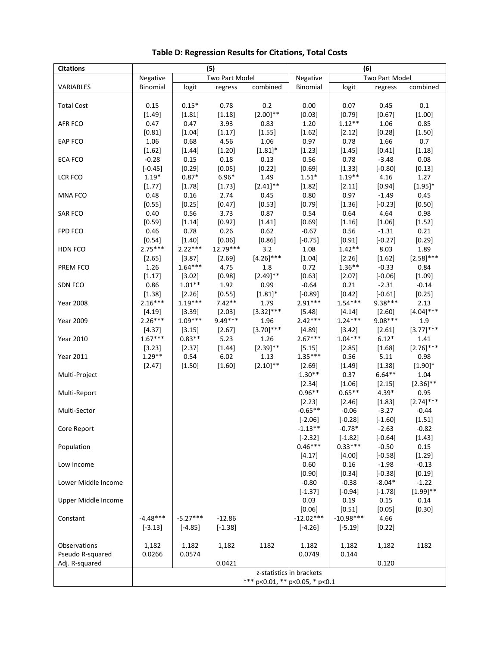| Two Part Model<br>Two Part Model<br>Negative<br>Negative<br>VARIABLES<br>Binomial<br>combined<br>Binomial<br>logit<br>combined<br>regress<br>logit<br>regress<br>$0.1\,$<br>0.15<br>$0.15*$<br>0.78<br>0.2<br>0.00<br>0.07<br>0.45<br><b>Total Cost</b><br>$[2.00]$ **<br>[1.81]<br>[1.18]<br>[0.03]<br>[0.79]<br>[0.67]<br>[1.00]<br>[1.49]<br>3.93<br>1.20<br>$1.12**$<br>1.06<br>0.85<br>AFR FCO<br>0.47<br>0.47<br>0.83<br>[1.17]<br>[1.55]<br>[0.28]<br>[1.50]<br>[0.81]<br>[1.04]<br>[1.62]<br>[2.12]<br><b>EAP FCO</b><br>1.06<br>0.68<br>4.56<br>1.06<br>0.97<br>0.78<br>1.66<br>0.7<br>[1.62]<br>[1.20]<br>$[1.81]^{*}$<br>[1.23]<br>[1.45]<br>[0.41]<br>[1.18]<br>[1.44]<br>$-0.28$<br>0.15<br>0.18<br>0.13<br>0.56<br>0.78<br>$-3.48$<br>0.08<br>ECA FCO |  |
|---------------------------------------------------------------------------------------------------------------------------------------------------------------------------------------------------------------------------------------------------------------------------------------------------------------------------------------------------------------------------------------------------------------------------------------------------------------------------------------------------------------------------------------------------------------------------------------------------------------------------------------------------------------------------------------------------------------------------------------------------------------------|--|
|                                                                                                                                                                                                                                                                                                                                                                                                                                                                                                                                                                                                                                                                                                                                                                     |  |
|                                                                                                                                                                                                                                                                                                                                                                                                                                                                                                                                                                                                                                                                                                                                                                     |  |
|                                                                                                                                                                                                                                                                                                                                                                                                                                                                                                                                                                                                                                                                                                                                                                     |  |
|                                                                                                                                                                                                                                                                                                                                                                                                                                                                                                                                                                                                                                                                                                                                                                     |  |
|                                                                                                                                                                                                                                                                                                                                                                                                                                                                                                                                                                                                                                                                                                                                                                     |  |
|                                                                                                                                                                                                                                                                                                                                                                                                                                                                                                                                                                                                                                                                                                                                                                     |  |
|                                                                                                                                                                                                                                                                                                                                                                                                                                                                                                                                                                                                                                                                                                                                                                     |  |
|                                                                                                                                                                                                                                                                                                                                                                                                                                                                                                                                                                                                                                                                                                                                                                     |  |
|                                                                                                                                                                                                                                                                                                                                                                                                                                                                                                                                                                                                                                                                                                                                                                     |  |
|                                                                                                                                                                                                                                                                                                                                                                                                                                                                                                                                                                                                                                                                                                                                                                     |  |
| [0.29]<br>[0.05]<br>[0.22]<br>[0.69]<br>[1.33]<br>$[-0.80]$<br>[0.13]<br>$[-0.45]$                                                                                                                                                                                                                                                                                                                                                                                                                                                                                                                                                                                                                                                                                  |  |
| $0.87*$<br>$6.96*$<br>1.49<br>$1.51*$<br>$1.19**$<br>$1.19*$<br>4.16<br>1.27<br><b>LCR FCO</b>                                                                                                                                                                                                                                                                                                                                                                                                                                                                                                                                                                                                                                                                      |  |
| $[2.41]$ **<br>[0.94]<br>$[1.95]$ *<br>[1.77]<br>[1.78]<br>[1.73]<br>[1.82]<br>[2.11]                                                                                                                                                                                                                                                                                                                                                                                                                                                                                                                                                                                                                                                                               |  |
| $0.16\,$<br>2.74<br>0.45<br>0.80<br>0.97<br>$-1.49$<br>0.45<br><b>MNA FCO</b><br>0.48                                                                                                                                                                                                                                                                                                                                                                                                                                                                                                                                                                                                                                                                               |  |
| [0.25]<br>[0.47]<br>[0.53]<br>[0.79]<br>[1.36]<br>$[-0.23]$<br>[0.50]<br>[0.55]                                                                                                                                                                                                                                                                                                                                                                                                                                                                                                                                                                                                                                                                                     |  |
| 0.40<br>0.56<br>3.73<br>0.87<br>0.54<br>0.64<br>4.64<br>0.98<br><b>SAR FCO</b>                                                                                                                                                                                                                                                                                                                                                                                                                                                                                                                                                                                                                                                                                      |  |
| [1.14]<br>[0.92]<br>[1.41]<br>[0.69]<br>[1.16]<br>[1.06]<br>[1.52]<br>[0.59]                                                                                                                                                                                                                                                                                                                                                                                                                                                                                                                                                                                                                                                                                        |  |
| 0.78<br>0.26<br>0.62<br>0.21<br>FPD FCO<br>0.46<br>$-0.67$<br>0.56<br>$-1.31$                                                                                                                                                                                                                                                                                                                                                                                                                                                                                                                                                                                                                                                                                       |  |
| [0.86]<br>[0.91]<br>$[-0.27]$<br>[0.29]<br>[0.54]<br>$[1.40]$<br>[0.06]<br>$[-0.75]$<br>$2.75***$<br>$2.22***$<br>12.79***<br>$1.42**$                                                                                                                                                                                                                                                                                                                                                                                                                                                                                                                                                                                                                              |  |
| 8.03<br>1.89<br>HDN FCO<br>3.2<br>1.08<br>$[2.58]$ ***<br>$[4.26]$ ***<br>[1.04]<br>[1.62]                                                                                                                                                                                                                                                                                                                                                                                                                                                                                                                                                                                                                                                                          |  |
| [2.69]<br>[2.65]<br>[3.87]<br>[2.26]<br>$1.64***$<br>$1.36**$<br>PREM FCO<br>1.26<br>4.75<br>0.72<br>$-0.33$<br>0.84<br>1.8                                                                                                                                                                                                                                                                                                                                                                                                                                                                                                                                                                                                                                         |  |
| $[2.49]$ **<br>[1.17]<br>[0.98]<br>[0.63]<br>$[-0.06]$<br>[1.09]<br>[3.02]<br>[2.07]                                                                                                                                                                                                                                                                                                                                                                                                                                                                                                                                                                                                                                                                                |  |
| $1.01**$<br>1.92<br>0.21<br>$-0.14$<br>0.86<br>0.99<br>$-0.64$<br>$-2.31$<br>SDN FCO                                                                                                                                                                                                                                                                                                                                                                                                                                                                                                                                                                                                                                                                                |  |
| [0.55]<br>$[1.81]$ *<br>[0.42]<br>$[-0.61]$<br>[0.25]<br>[1.38]<br>[2.26]<br>$[-0.89]$                                                                                                                                                                                                                                                                                                                                                                                                                                                                                                                                                                                                                                                                              |  |
| $2.16***$<br>$1.19***$<br>$7.42**$<br>$2.91***$<br>$1.54***$<br>9.38***<br>1.79<br><b>Year 2008</b><br>2.13                                                                                                                                                                                                                                                                                                                                                                                                                                                                                                                                                                                                                                                         |  |
| $[3.32]$ ***<br>$[4.04]$ ***<br>[4.19]<br>[3.39]<br>[2.03]<br>[5.48]<br>[2.60]<br>[4.14]                                                                                                                                                                                                                                                                                                                                                                                                                                                                                                                                                                                                                                                                            |  |
| $2.26***$<br>$1.09***$<br>9.49***<br>$2.42***$<br>$1.24***$<br>9.08***<br>1.96<br>1.9<br><b>Year 2009</b>                                                                                                                                                                                                                                                                                                                                                                                                                                                                                                                                                                                                                                                           |  |
| $[3.70]$ ***<br>$[3.77]$ ***<br>[2.67]<br>[4.37]<br>[3.15]<br>[4.89]<br>[3.42]<br>[2.61]                                                                                                                                                                                                                                                                                                                                                                                                                                                                                                                                                                                                                                                                            |  |
| $1.67***$<br>$2.67***$<br>$1.04***$<br>$6.12*$<br>$0.83**$<br>5.23<br>1.26<br><b>Year 2010</b><br>1.41                                                                                                                                                                                                                                                                                                                                                                                                                                                                                                                                                                                                                                                              |  |
| $[2.39]$ **<br>$[2.76]$ ***<br>[2.37]<br>[1.44]<br>[2.85]<br>[1.68]<br>[3.23]<br>[5.15]                                                                                                                                                                                                                                                                                                                                                                                                                                                                                                                                                                                                                                                                             |  |
| $1.29**$<br>$1.35***$<br>6.02<br>0.56<br>5.11<br>0.98<br><b>Year 2011</b><br>0.54<br>1.13                                                                                                                                                                                                                                                                                                                                                                                                                                                                                                                                                                                                                                                                           |  |
| $[2.10]$ **<br>[1.49]<br>$[1.90]$ *<br>[2.47]<br>[1.50]<br>[1.60]<br>[2.69]<br>[1.38]                                                                                                                                                                                                                                                                                                                                                                                                                                                                                                                                                                                                                                                                               |  |
| $1.30**$<br>0.37<br>$6.64**$<br>1.04<br>Multi-Project                                                                                                                                                                                                                                                                                                                                                                                                                                                                                                                                                                                                                                                                                                               |  |
| $[2.36]$ **<br>[1.06]<br>[2.15]<br>[2.34]                                                                                                                                                                                                                                                                                                                                                                                                                                                                                                                                                                                                                                                                                                                           |  |
| $0.96**$<br>$0.65**$<br>$4.39*$<br>0.95<br>Multi-Report                                                                                                                                                                                                                                                                                                                                                                                                                                                                                                                                                                                                                                                                                                             |  |
| $[2.74]$ ***<br>[2.23]<br>[1.83]<br>[2.46]                                                                                                                                                                                                                                                                                                                                                                                                                                                                                                                                                                                                                                                                                                                          |  |
| $-0.65**$<br>$-0.06$<br>$-3.27$<br>$-0.44$<br>Multi-Sector                                                                                                                                                                                                                                                                                                                                                                                                                                                                                                                                                                                                                                                                                                          |  |
| $[-1.60]$<br>$[-2.06]$<br>$[-0.28]$<br>[1.51]                                                                                                                                                                                                                                                                                                                                                                                                                                                                                                                                                                                                                                                                                                                       |  |
| $-1.13**$<br>$-0.78*$<br>$-2.63$<br>$-0.82$<br>Core Report                                                                                                                                                                                                                                                                                                                                                                                                                                                                                                                                                                                                                                                                                                          |  |
| $[-2.32]$<br>$[-1.82]$<br>$[-0.64]$<br>[1.43]                                                                                                                                                                                                                                                                                                                                                                                                                                                                                                                                                                                                                                                                                                                       |  |
| $0.46***$<br>$0.33***$<br>$-0.50$<br>0.15<br>Population                                                                                                                                                                                                                                                                                                                                                                                                                                                                                                                                                                                                                                                                                                             |  |
| [1.29]<br>[4.17]<br>[4.00]<br>$[-0.58]$                                                                                                                                                                                                                                                                                                                                                                                                                                                                                                                                                                                                                                                                                                                             |  |
| 0.60<br>0.16<br>$-1.98$<br>$-0.13$<br>Low Income                                                                                                                                                                                                                                                                                                                                                                                                                                                                                                                                                                                                                                                                                                                    |  |
| [0.90]<br>[0.34]<br>$[-0.38]$<br>[0.19]                                                                                                                                                                                                                                                                                                                                                                                                                                                                                                                                                                                                                                                                                                                             |  |
| Lower Middle Income<br>$-0.80$<br>$-0.38$<br>$-8.04*$<br>$-1.22$                                                                                                                                                                                                                                                                                                                                                                                                                                                                                                                                                                                                                                                                                                    |  |
| $[1.99]$ **<br>$[-0.94]$<br>$[-1.37]$<br>$[-1.78]$                                                                                                                                                                                                                                                                                                                                                                                                                                                                                                                                                                                                                                                                                                                  |  |
| Upper Middle Income<br>0.03<br>0.19<br>0.15<br>0.14                                                                                                                                                                                                                                                                                                                                                                                                                                                                                                                                                                                                                                                                                                                 |  |
| [0.51]<br>[0.06]<br>[0.05]<br>[0.30]<br>$-4.48***$                                                                                                                                                                                                                                                                                                                                                                                                                                                                                                                                                                                                                                                                                                                  |  |
| $-5.27***$<br>$-12.02***$<br>$-10.98***$<br>$-12.86$<br>4.66<br>Constant                                                                                                                                                                                                                                                                                                                                                                                                                                                                                                                                                                                                                                                                                            |  |
| $[-1.38]$<br>$[-4.26]$<br>$[-5.19]$<br>[0.22]<br>$[-3.13]$<br>$[-4.85]$                                                                                                                                                                                                                                                                                                                                                                                                                                                                                                                                                                                                                                                                                             |  |
|                                                                                                                                                                                                                                                                                                                                                                                                                                                                                                                                                                                                                                                                                                                                                                     |  |
| 1182<br>Observations<br>1,182<br>1,182<br>1,182<br>1182<br>1,182<br>1,182<br>1,182<br>0.0574<br>0.144<br>Pseudo R-squared<br>0.0266<br>0.0749                                                                                                                                                                                                                                                                                                                                                                                                                                                                                                                                                                                                                       |  |
| Adj. R-squared<br>0.0421<br>0.120                                                                                                                                                                                                                                                                                                                                                                                                                                                                                                                                                                                                                                                                                                                                   |  |
| z-statistics in brackets                                                                                                                                                                                                                                                                                                                                                                                                                                                                                                                                                                                                                                                                                                                                            |  |
| *** p<0.01, ** p<0.05, * p<0.1                                                                                                                                                                                                                                                                                                                                                                                                                                                                                                                                                                                                                                                                                                                                      |  |

# **Table D: Regression Results for Citations, Total Costs**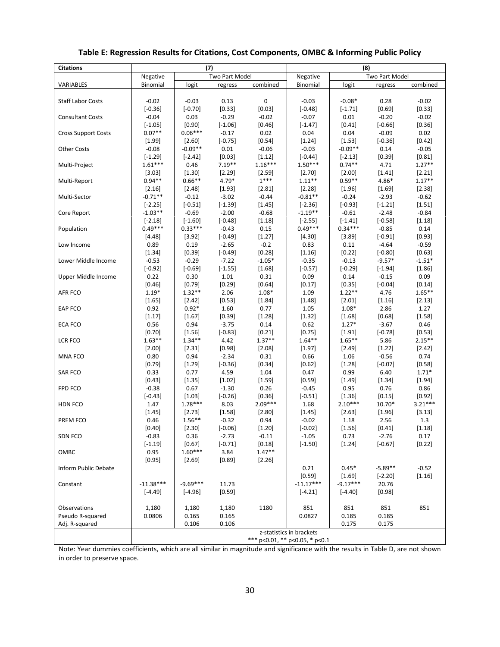| <b>Citations</b>           |                        | (7)                 |                    |                     | (8)                            |                       |                    |                     |
|----------------------------|------------------------|---------------------|--------------------|---------------------|--------------------------------|-----------------------|--------------------|---------------------|
|                            | Negative               |                     | Two Part Model     |                     | Negative                       |                       | Two Part Model     |                     |
| VARIABLES                  | Binomial               | logit               | regress            | combined            | Binomial                       | logit                 | regress            | combined            |
|                            |                        |                     |                    |                     |                                |                       |                    |                     |
| <b>Staff Labor Costs</b>   | $-0.02$                | $-0.03$             | 0.13               | 0                   | $-0.03$                        | $-0.08*$              | 0.28               | $-0.02$             |
|                            | $[-0.36]$              | $[-0.70]$           | [0.33]             | [0.03]              | $[-0.48]$                      | $[-1.71]$             | [0.69]             | [0.33]              |
| <b>Consultant Costs</b>    | $-0.04$                | 0.03                | $-0.29$            | $-0.02$             | $-0.07$                        | 0.01                  | $-0.20$            | $-0.02$             |
|                            | $[-1.05]$              | [0.90]              | $[-1.06]$          | [0.46]              | $[-1.47]$                      | [0.41]                | $[-0.66]$          | [0.36]              |
| <b>Cross Support Costs</b> | $0.07**$               | $0.06***$           | $-0.17$            | 0.02                | 0.04                           | 0.04                  | $-0.09$            | 0.02                |
|                            | [1.99]                 | $[2.60]$            | $[-0.75]$          | [0.54]              | [1.24]                         | [1.53]                | $[-0.36]$          | $[0.42]$            |
| <b>Other Costs</b>         | $-0.08$                | $-0.09**$           | $0.01\,$           | $-0.06$             | $-0.03$                        | $-0.09**$             | 0.14               | $-0.05$             |
| Multi-Project              | $[-1.29]$<br>$1.61***$ | $[-2.42]$<br>0.46   | [0.03]<br>$7.19**$ | [1.12]<br>$1.16***$ | $[-0.44]$<br>$1.50***$         | $[-2.13]$<br>$0.74**$ | [0.39]<br>4.71     | [0.81]<br>$1.27**$  |
|                            | [3.03]                 | [1.30]              | [2.29]             | [2.59]              | [2.70]                         | [2.00]                | [1.41]             | [2.21]              |
| Multi-Report               | $0.94**$               | $0.66**$            | $4.79*$            | $1***$              | $1.11***$                      | $0.59**$              | $4.86*$            | $1.17***$           |
|                            | [2.16]                 | [2.48]              | [1.93]             | [2.81]              | [2.28]                         | [1.96]                | [1.69]             | [2.38]              |
| Multi-Sector               | $-0.71**$              | $-0.12$             | $-3.02$            | $-0.44$             | $-0.81**$                      | $-0.24$               | $-2.93$            | $-0.62$             |
|                            | $[-2.25]$              | $[-0.51]$           | $[-1.39]$          | [1.45]              | $[-2.36]$                      | $[-0.93]$             | $[-1.21]$          | [1.51]              |
| Core Report                | $-1.03**$              | $-0.69$             | $-2.00$            | $-0.68$             | $-1.19**$                      | $-0.61$               | $-2.48$            | $-0.84$             |
|                            | $[-2.18]$              | $[-1.60]$           | $[-0.48]$          | [1.18]              | $[-2.55]$                      | $[-1.41]$             | $[-0.58]$          | [1.18]              |
| Population                 | $0.49***$              | $0.33***$           | $-0.43$            | 0.15                | $0.49***$                      | $0.34***$             | $-0.85$            | 0.14                |
|                            | [4.48]                 | [3.92]              | $[-0.49]$          | [1.27]              | [4.30]                         | [3.89]                | $[-0.91]$          | [0.93]              |
| Low Income                 | 0.89                   | 0.19                | $-2.65$            | $-0.2$              | 0.83                           | 0.11                  | $-4.64$            | $-0.59$             |
|                            | [1.34]                 | [0.39]              | $[-0.49]$          | [0.28]              | [1.16]                         | [0.22]                | $[-0.80]$          | [0.63]              |
| Lower Middle Income        | $-0.53$                | $-0.29$             | $-7.22$            | $-1.05*$            | $-0.35$                        | $-0.13$               | $-9.57*$           | $-1.51*$            |
|                            | $[-0.92]$              | $[-0.69]$           | $[-1.55]$          | [1.68]              | $[-0.57]$                      | $[-0.29]$             | $[-1.94]$          | [1.86]              |
| Upper Middle Income        | 0.22                   | 0.30                | $1.01\,$           | 0.31                | 0.09                           | 0.14                  | $-0.15$            | 0.09                |
|                            | [0.46]                 | [0.79]              | [0.29]             | [0.64]              | [0.17]                         | [0.35]                | $[-0.04]$          | $[0.14]$            |
| <b>AFR FCO</b>             | $1.19*$                | $1.32**$            | 2.06               | $1.08*$             | 1.09                           | $1.22**$              | 4.76               | $1.65***$           |
|                            | [1.65]                 | [2.42]              | [0.53]             | [1.84]              | [1.48]                         | [2.01]                | [1.16]             | [2.13]              |
| <b>EAP FCO</b>             | 0.92                   | $0.92*$             | 1.60               | 0.77                | 1.05                           | $1.08*$               | 2.86               | 1.27                |
|                            | [1.17]                 | [1.67]              | [0.39]             | [1.28]              | [1.32]                         | [1.68]                | [0.68]             | [1.58]              |
| <b>ECA FCO</b>             | 0.56                   | 0.94                | $-3.75$            | 0.14                | 0.62                           | $1.27*$               | $-3.67$            | 0.46                |
|                            | [0.70]                 | [1.56]              | $[-0.83]$          | [0.21]              | [0.75]                         | [1.91]                | $[-0.78]$          | [0.53]              |
| <b>LCR FCO</b>             | $1.63**$               | $1.34**$            | 4.42               | $1.37**$            | $1.64**$                       | $1.65***$             | 5.86               | $2.15***$           |
|                            | [2.00]                 | [2.31]              | [0.98]             | [2.08]              | [1.97]                         | [2.49]                | [1.22]             | [2.42]              |
| <b>MNA FCO</b>             | 0.80                   | 0.94                | $-2.34$            | 0.31                | 0.66                           | 1.06                  | $-0.56$            | 0.74                |
|                            | [0.79]                 | [1.29]              | $[-0.36]$          | [0.34]              | [0.62]                         | [1.28]                | $[-0.07]$          | [0.58]              |
| <b>SAR FCO</b>             | 0.33                   | 0.77                | 4.59               | 1.04                | 0.47                           | 0.99                  | 6.40               | $1.71*$             |
|                            | [0.43]                 | [1.35]              | [1.02]             | [1.59]              | [0.59]                         | [1.49]                | [1.34]             | [1.94]              |
| <b>FPD FCO</b>             | $-0.38$                | 0.67                | $-1.30$            | 0.26                | $-0.45$                        | 0.95                  | 0.76               | 0.86                |
| <b>HDN FCO</b>             | $[-0.43]$              | [1.03]<br>$1.78***$ | $[-0.26]$          | [0.36]<br>$2.09***$ | $[-0.51]$                      | [1.36]<br>$2.10***$   | [0.15]<br>$10.70*$ | [0.92]<br>$3.21***$ |
|                            | 1.47                   |                     | 8.03               |                     | 1.68                           |                       |                    |                     |
| PREM FCO                   | [1.45]<br>0.46         | [2.73]<br>$1.56***$ | [1.58]<br>$-0.32$  | [2.80]<br>0.94      | [1.45]<br>$-0.02$              | [2.63]<br>1.18        | [1.96]<br>2.56     | [3.13]<br>1.3       |
|                            | [0.40]                 | [2.30]              | $[-0.06]$          | [1.20]              | $[-0.02]$                      | [1.56]                | [0.41]             | [1.18]              |
| SDN FCO                    | $-0.83$                | 0.36                | $-2.73$            | $-0.11$             | $-1.05$                        | 0.73                  | $-2.76$            | 0.17                |
|                            | $[-1.19]$              | [0.67]              | $[-0.71]$          | [0.18]              | $[-1.50]$                      | [1.24]                | $[-0.67]$          | [0.22]              |
| OMBC                       | 0.95                   | $1.60***$           | 3.84               | $1.47**$            |                                |                       |                    |                     |
|                            | [0.95]                 | [2.69]              | [0.89]             | [2.26]              |                                |                       |                    |                     |
| Inform Public Debate       |                        |                     |                    |                     | 0.21                           | $0.45*$               | $-5.89**$          | $-0.52$             |
|                            |                        |                     |                    |                     | [0.59]                         | $[1.69]$              | $[-2.20]$          | [1.16]              |
| Constant                   | $-11.38***$            | $-9.69***$          | 11.73              |                     | $-11.17***$                    | $-9.17***$            | 20.76              |                     |
|                            | $[-4.49]$              | $[-4.96]$           | [0.59]             |                     | $[-4.21]$                      | $[-4.40]$             | [0.98]             |                     |
|                            |                        |                     |                    |                     |                                |                       |                    |                     |
| Observations               | 1,180                  | 1,180               | 1,180              | 1180                | 851                            | 851                   | 851                | 851                 |
| Pseudo R-squared           | 0.0806                 | 0.165               | 0.165              |                     | 0.0827                         | 0.185                 | 0.185              |                     |
| Adj. R-squared             |                        | 0.106               | 0.106              |                     |                                | 0.175                 | 0.175              |                     |
|                            |                        |                     |                    |                     | z-statistics in brackets       |                       |                    |                     |
|                            |                        |                     |                    |                     | *** p<0.01, ** p<0.05, * p<0.1 |                       |                    |                     |

# **Table E: Regression Results for Citations, Cost Components, OMBC & Informing Public Policy**

Note: Year dummies coefficients, which are all similar in magnitude and significance with the results in Table D, are not shown in order to preserve space.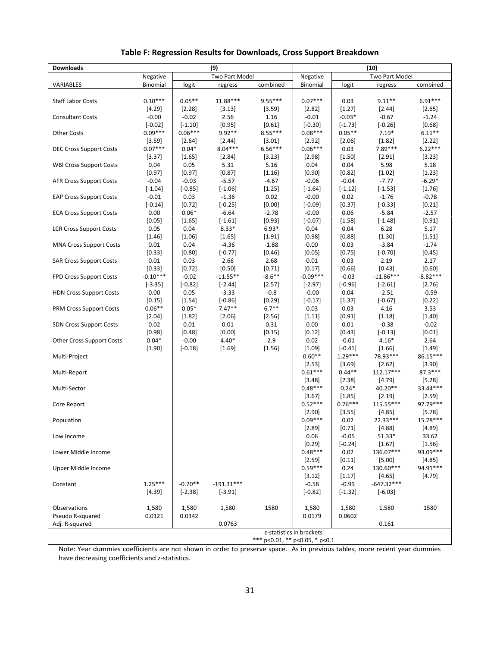| <b>Downloads</b>                 |                        | (9)                    |                    | (10)                           |                          |                       |                      |                      |
|----------------------------------|------------------------|------------------------|--------------------|--------------------------------|--------------------------|-----------------------|----------------------|----------------------|
|                                  | Negative               |                        | Two Part Model     |                                | Negative                 |                       | Two Part Model       |                      |
| VARIABLES                        | Binomial               | logit                  | regress            | combined                       | Binomial                 | logit                 | regress              | combined             |
|                                  |                        |                        |                    |                                |                          |                       |                      |                      |
| <b>Staff Labor Costs</b>         | $0.10***$              | $0.05**$               | 11.88***           | $9.55***$                      | $0.07***$                | 0.03                  | $9.11**$             | $6.91***$            |
|                                  | $[4.29]$               | $[2.28]$               | [3.13]             | $[3.59]$                       | $[2.82]$                 | [1.27]                | $[2.44]$             | $[2.65]$             |
| <b>Consultant Costs</b>          | $-0.00$                | $-0.02$                | 2.56               | 1.16                           | $-0.01$                  | $-0.03*$              | $-0.67$              | $-1.24$              |
| <b>Other Costs</b>               | $[-0.02]$<br>$0.09***$ | $[-1.10]$<br>$0.06***$ | [0.95]<br>$9.92**$ | [0.61]<br>$8.55***$            | $[-0.30]$<br>$0.08***$   | $[-1.73]$<br>$0.05**$ | $[-0.26]$<br>$7.19*$ | [0.68]<br>$6.11***$  |
|                                  | [3.59]                 | $[2.64]$               | $[2.44]$           | [3.01]                         | $[2.92]$                 | [2.06]                | [1.82]               | [2.22]               |
| <b>DEC Cross Support Costs</b>   | $0.07***$              | $0.04*$                | $8.04***$          | $6.56***$                      | $0.06***$                | 0.03                  | 7.89***              | $6.22***$            |
|                                  | [3.37]                 | [1.65]                 | [2.84]             | [3.23]                         | [2.98]                   | [1.50]                | [2.91]               | [3.23]               |
| <b>WBI Cross Support Costs</b>   | 0.04                   | 0.05                   | 5.31               | 5.16                           | 0.04                     | 0.04                  | 5.98                 | 5.18                 |
|                                  | [0.97]                 | [0.97]                 | [0.87]             | [1.16]                         | [0.90]                   | [0.82]                | [1.02]               | [1.23]               |
| <b>AFR Cross Support Costs</b>   | $-0.04$                | $-0.03$                | $-5.57$            | $-4.67$                        | $-0.06$                  | $-0.04$               | $-7.77$              | $-6.29*$             |
|                                  | $[-1.04]$              | $[-0.85]$              | $[-1.06]$          | [1.25]                         | $[-1.64]$                | $[-1.12]$             | $[-1.53]$            | [1.76]               |
| <b>EAP Cross Support Costs</b>   | $-0.01$                | 0.03                   | $-1.36$            | 0.02                           | $-0.00$                  | 0.02                  | $-1.76$              | $-0.78$              |
|                                  | $[-0.14]$              | [0.72]                 | $[-0.25]$          | [0.00]                         | $[-0.09]$                | [0.37]                | $[-0.33]$            | $[0.21]$             |
| <b>ECA Cross Support Costs</b>   | 0.00                   | $0.06*$                | $-6.64$            | $-2.78$                        | $-0.00$                  | 0.06                  | $-5.84$              | $-2.57$              |
|                                  | [0.05]                 | [1.65]                 | $[-1.61]$          | [0.93]                         | $[-0.07]$                | [1.58]                | $[-1.48]$            | [0.91]               |
| <b>LCR Cross Support Costs</b>   | 0.05                   | 0.04                   | $8.33*$            | $6.93*$                        | 0.04                     | 0.04                  | 6.28                 | 5.17                 |
|                                  | [1.46]                 | $[1.06]$               | [1.65]             | [1.91]                         | [0.98]                   | [0.88]                | [1.30]               | [1.51]               |
| MNA Cross Support Costs          | 0.01                   | 0.04                   | $-4.36$            | $-1.88$                        | 0.00                     | 0.03                  | $-3.84$              | $-1.74$              |
| <b>SAR Cross Support Costs</b>   | [0.33]<br>0.01         | [0.80]<br>0.03         | $[-0.77]$<br>2.66  | [0.46]<br>2.68                 | [0.05]<br>0.01           | [0.75]<br>0.03        | $[-0.70]$<br>2.19    | [0.45]<br>2.17       |
|                                  | [0.33]                 | [0.72]                 | $[0.50]$           | [0.71]                         | [0.17]                   | [0.66]                | [0.43]               | [0.60]               |
| FPD Cross Support Costs          | $-0.10***$             | $-0.02$                | $-11.55**$         | $-8.6**$                       | $-0.09***$               | $-0.03$               | $-11.86***$          | $-8.82***$           |
|                                  | $[-3.35]$              | $[-0.82]$              | $[-2.44]$          | [2.57]                         | $[-2.97]$                | $[-0.96]$             | $[-2.61]$            | [2.76]               |
| <b>HDN Cross Support Costs</b>   | 0.00                   | 0.05                   | $-3.33$            | $-0.8$                         | $-0.00$                  | 0.04                  | $-2.51$              | $-0.59$              |
|                                  | [0.15]                 | [1.54]                 | $[-0.86]$          | $[0.29]$                       | $[-0.17]$                | [1.37]                | $[-0.67]$            | [0.22]               |
| <b>PRM Cross Support Costs</b>   | $0.06**$               | $0.05*$                | $7.47**$           | $6.7**$                        | 0.03                     | 0.03                  | 4.16                 | 3.53                 |
|                                  | [2.04]                 | [1.82]                 | [2.06]             | [2.56]                         | $[1.11]$                 | $[0.91]$              | [1.18]               | [1.40]               |
| <b>SDN Cross Support Costs</b>   | 0.02                   | 0.01                   | 0.01               | 0.31                           | 0.00                     | 0.01                  | $-0.38$              | $-0.02$              |
|                                  | [0.98]                 | [0.48]                 | [0.00]             | [0.15]                         | [0.12]                   | [0.43]                | $[-0.13]$            | $[0.01]$             |
| <b>Other Cross Support Costs</b> | $0.04*$                | $-0.00$                | $4.40*$            | 2.9                            | 0.02                     | $-0.01$               | $4.16*$              | 2.64                 |
|                                  | [1.90]                 | $[-0.18]$              | [1.69]             | [1.56]                         | $[1.09]$                 | $[-0.41]$             | $[1.66]$             | $[1.49]$             |
| Multi-Project                    |                        |                        |                    |                                | $0.60**$                 | $1.29***$             | 78.93***             | 86.15***             |
|                                  |                        |                        |                    |                                | $[2.53]$                 | $[3.69]$              | $[2.62]$             | $[3.90]$             |
| Multi-Report                     |                        |                        |                    |                                | $0.61***$                | $0.44**$              | $112.17***$          | $87.3***$            |
| Multi-Sector                     |                        |                        |                    |                                | $[3.48]$<br>$0.48***$    | [2.38]<br>$0.24*$     | [4.79]<br>40.20**    | $[5.28]$<br>33.44*** |
|                                  |                        |                        |                    |                                | [3.67]                   | [1.85]                | [2.19]               | $[2.59]$             |
| Core Report                      |                        |                        |                    |                                | $0.52***$                | $0.76***$             | 115.55***            | 97.79***             |
|                                  |                        |                        |                    |                                | [2.90]                   | [3.55]                | $[4.85]$             | [5.78]               |
| Population                       |                        |                        |                    |                                | $0.09***$                | 0.02                  | 22.33***             | 15.78***             |
|                                  |                        |                        |                    |                                | $[2.89]$                 | $[0.71]$              | [4.88]               | [4.89]               |
| Low Income                       |                        |                        |                    |                                | 0.06                     | $-0.05$               | 51.33*               | 33.62                |
|                                  |                        |                        |                    |                                | $[0.29]$                 | $[-0.24]$             | $[1.67]$             | $[1.56]$             |
| Lower Middle Income              |                        |                        |                    |                                | $0.48***$                | 0.02                  | 136.07***            | 93.09***             |
|                                  |                        |                        |                    |                                | $[2.59]$                 | [0.11]                | [5.00]               | [4.85]               |
| Upper Middle Income              |                        |                        |                    |                                | $0.59***$                | 0.24                  | 130.60***            | 94.91***             |
|                                  |                        |                        |                    |                                | $[3.12]$                 | $[1.17]$              | [4.65]               | [4.79]               |
| Constant                         | $1.25***$              | $-0.70**$              | $-191.31***$       |                                | $-0.58$                  | $-0.99$               | $-647.32***$         |                      |
|                                  | $[4.39]$               | $[-2.38]$              | $[-3.91]$          |                                | $[-0.82]$                | $[-1.32]$             | $[-6.03]$            |                      |
| Observations                     |                        |                        |                    |                                |                          |                       |                      |                      |
| Pseudo R-squared                 | 1,580<br>0.0121        | 1,580<br>0.0342        | 1,580              | 1580                           | 1,580<br>0.0179          | 1,580<br>0.0602       | 1,580                | 1580                 |
| Adj. R-squared                   |                        |                        | 0.0763             |                                |                          |                       | 0.161                |                      |
|                                  |                        |                        |                    |                                | z-statistics in brackets |                       |                      |                      |
|                                  |                        |                        |                    | *** p<0.01, ** p<0.05, * p<0.1 |                          |                       |                      |                      |

#### **Table F: Regression Results for Downloads, Cross Support Breakdown**

Note: Year dummies coefficients are not shown in order to preserve space. As in previous tables, more recent year dummies have decreasing coefficients and z-statistics.